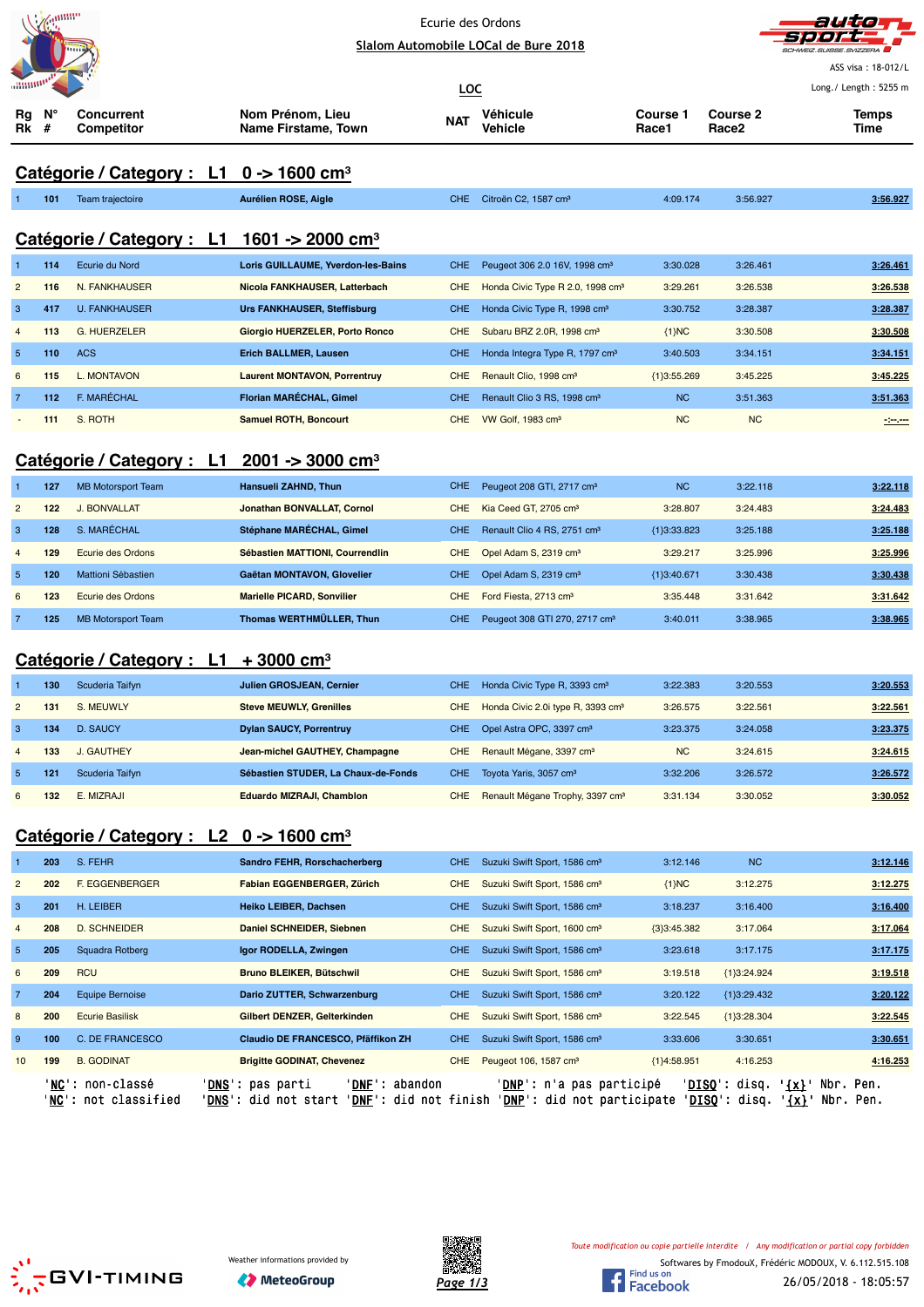|                               | annin |
|-------------------------------|-------|
|                               |       |
| <b><i><u>Illining</u></i></b> |       |

J.

#### Ecurie des Ordons **Slalom Automobile LOCal de Bure 2018**



ASS visa : 18-012/L Long./ Length : 5255 m

**LOC Rg Rk N° # Concurrent Competitor Nom Prénom, Lieu Name Firstame, Town Véhicule Vehicle Course 1 Race1 Course 2 Race2 Temps NAT Vehicle The Counse Counse Counse Counse Counse Time NAT Vehicle The Race 2 T** 

# **Catégorie / Category : L1 0 -> 1600 cm³**

| 101 | Team traiectoire | Aurélien ROSE, Aigle                                                         | CHE Citroën C2, 1587 cm <sup>3</sup> | 4:09.174 | 3:56.927 | 3:56.927 |
|-----|------------------|------------------------------------------------------------------------------|--------------------------------------|----------|----------|----------|
|     |                  | $C_{\text{atávario}}/C_{\text{atachovi}}$ $11.1601 \times 2000 \text{ cm}^3$ |                                      |          |          |          |

# **Catégorie / Category : L1 1601 -> 2000 cm³** 1 **114** Ecurie du Nord **Loris GUILLAUME, Yverdon-les-Bains** CHE Peugeot 306 2.0 16V, 1998 cm³ 3:30.028 3:26.461 **3:26.461** 2 **116** N. FANKHAUSER **Nicola FANKHAUSER, Latterbach** CHE Honda Civic Type R 2.0, 1998 cm³ 3:29.261 3:26.538 **3:26.538** 3 **417** U. FANKHAUSER **Urs FANKHAUSER, Steffisburg** CHE Honda Civic Type R, 1998 cm³ 3:30.752 3:28.387 **3:28.387** 4 **113** G. HUERZELER **Giorgio HUERZELER, Porto Ronco** CHE Subaru BRZ 2.0R, 1998 cm³ {1}NC 3:30.508 **3:30.508** 5 **110** ACS **Erich BALLMER, Lausen** CHE Honda Integra Type R, 1797 cm³ 3:40.503 3:34.151 **3:34.151** 6 **115** L. MONTAVON **Laurent MONTAVON, Porrentruy** CHE Renault Clio, 1998 cm³ {1}3:55.269 3:45.225 **3:45.225** 7 **112** F. MARÉCHAL **Florian MARÉCHAL, Gimel** CHE Renault Clio 3 RS, 1998 cm³ NC 3:51.363 **3:51.363**

## **Catégorie / Category : L1 2001 -> 3000 cm³**

|                | 127 | <b>MB Motorsport Team</b> | Hansueli ZAHND, Thun              | CHE. | Peugeot 208 GTI, 2717 cm <sup>3</sup>     | <b>NC</b>     | 3:22.118 | 3:22.118 |
|----------------|-----|---------------------------|-----------------------------------|------|-------------------------------------------|---------------|----------|----------|
| $\overline{2}$ | 122 | J. BONVALLAT              | Jonathan BONVALLAT, Cornol        | CHE  | Kia Ceed GT, 2705 cm <sup>3</sup>         | 3:28.807      | 3:24.483 | 3:24.483 |
| 3              | 128 | S. MARÉCHAL               | Stéphane MARÉCHAL, Gimel          | CHE. | Renault Clio 4 RS, 2751 cm <sup>3</sup>   | ${1}3:33.823$ | 3:25.188 | 3:25.188 |
| $\overline{4}$ | 129 | Ecurie des Ordons         | Sébastien MATTIONI, Courrendlin   | CHE. | Opel Adam S, 2319 cm <sup>3</sup>         | 3:29.217      | 3:25.996 | 3:25.996 |
| 5 <sup>5</sup> | 120 | Mattioni Sébastien        | Gaëtan MONTAVON, Glovelier        | CHE. | Opel Adam S, 2319 cm <sup>3</sup>         | {1}3:40.671   | 3:30.438 | 3:30.438 |
| 6              | 123 | Ecurie des Ordons         | <b>Marielle PICARD, Sonvilier</b> | CHE. | Ford Fiesta, 2713 cm <sup>3</sup>         | 3:35.448      | 3:31.642 | 3:31.642 |
|                | 125 | <b>MB Motorsport Team</b> | Thomas WERTHMÜLLER, Thun          | CHE. | Peugeot 308 GTI 270, 2717 cm <sup>3</sup> | 3:40.011      | 3:38.965 | 3:38.965 |

- **111** S. ROTH **Samuel ROTH, Boncourt** CHE VW Golf, 1983 cm³ NC NC **-:--.---**

### **Catégorie / Category : L1 + 3000 cm³**

|                | 130 | Scuderia Taifyn | <b>Julien GROSJEAN, Cernier</b>     | CHE.       | Honda Civic Type R, 3393 cm <sup>3</sup>      | 3:22.383  | 3:20.553 | 3:20.553 |
|----------------|-----|-----------------|-------------------------------------|------------|-----------------------------------------------|-----------|----------|----------|
| $\overline{2}$ | 131 | S. MEUWLY       | <b>Steve MEUWLY, Grenilles</b>      | CHE.       | Honda Civic 2.0i type R, 3393 cm <sup>3</sup> | 3:26.575  | 3:22.561 | 3:22.561 |
| 3              | 134 | D. SAUCY        | <b>Dylan SAUCY, Porrentruy</b>      | CHE.       | Opel Astra OPC, 3397 cm <sup>3</sup>          | 3:23.375  | 3:24.058 | 3:23.375 |
| $\overline{4}$ | 133 | J. GAUTHEY      | Jean-michel GAUTHEY, Champagne      | <b>CHE</b> | Renault Mégane, 3397 cm <sup>3</sup>          | <b>NC</b> | 3:24.615 | 3:24.615 |
| -5             | 121 | Scuderia Taifyn | Sébastien STUDER. La Chaux-de-Fonds | <b>CHE</b> | Toyota Yaris, 3057 cm <sup>3</sup>            | 3:32.206  | 3:26.572 | 3:26.572 |
| 6              | 132 | E. MIZRAJI      | Eduardo MIZRAJI, Chamblon           | <b>CHE</b> | Renault Mégane Trophy, 3397 cm <sup>3</sup>   | 3:31.134  | 3:30.052 | 3:30.052 |

## **Catégorie / Category : L2 0 -> 1600 cm³**

|                 | 203 | S. FEHR                                           | Sandro FEHR, Rorschacherberg                                                                                            | CHE.       | Suzuki Swift Sport, 1586 cm <sup>3</sup>                                 | 3:12.146      | N <sub>C</sub>                            | 3:12.146                                           |
|-----------------|-----|---------------------------------------------------|-------------------------------------------------------------------------------------------------------------------------|------------|--------------------------------------------------------------------------|---------------|-------------------------------------------|----------------------------------------------------|
| $\overline{2}$  | 202 | <b>F. EGGENBERGER</b>                             | Fabian EGGENBERGER, Zürich                                                                                              | CHE.       | Suzuki Swift Sport, 1586 cm <sup>3</sup>                                 | ${1}NC$       | 3:12.275                                  | 3:12.275                                           |
| 3               | 201 | H. LEIBER                                         | Heiko LEIBER, Dachsen                                                                                                   | CHE.       | Suzuki Swift Sport, 1586 cm <sup>3</sup>                                 | 3:18.237      | 3:16.400                                  | 3:16.400                                           |
| 4               | 208 | D. SCHNEIDER                                      | Daniel SCHNEIDER, Siebnen                                                                                               | <b>CHE</b> | Suzuki Swift Sport, 1600 cm <sup>3</sup>                                 | ${3}3:45.382$ | 3:17.064                                  | 3:17.064                                           |
| $5\phantom{.0}$ | 205 | Squadra Rotberg                                   | Igor RODELLA, Zwingen                                                                                                   | CHE.       | Suzuki Swift Sport, 1586 cm <sup>3</sup>                                 | 3:23.618      | 3:17.175                                  | 3:17.175                                           |
| 6               | 209 | <b>RCU</b>                                        | <b>Bruno BLEIKER, Bütschwil</b>                                                                                         | <b>CHE</b> | Suzuki Swift Sport, 1586 cm <sup>3</sup>                                 | 3:19.518      | ${1}3:24.924$                             | 3:19.518                                           |
| $\overline{7}$  | 204 | Equipe Bernoise                                   | Dario ZUTTER, Schwarzenburg                                                                                             | CHE.       | Suzuki Swift Sport, 1586 cm <sup>3</sup>                                 | 3:20.122      | ${1}3:29.432$                             | 3:20.122                                           |
| 8               | 200 | <b>Ecurie Basilisk</b>                            | Gilbert DENZER, Gelterkinden                                                                                            | <b>CHE</b> | Suzuki Swift Sport, 1586 cm <sup>3</sup>                                 | 3:22.545      | ${1}3:28.304$                             | 3:22.545                                           |
| 9               | 100 | C. DE FRANCESCO                                   | Claudio DE FRANCESCO, Pfäffikon ZH                                                                                      | CHE.       | Suzuki Swift Sport, 1586 cm <sup>3</sup>                                 | 3:33.606      | 3:30.651                                  | 3:30.651                                           |
| 10              | 199 | <b>B. GODINAT</b>                                 | <b>Brigitte GODINAT, Chevenez</b>                                                                                       | CHE.       | Peugeot 106, 1587 cm <sup>3</sup>                                        | ${1}4:58.951$ | 4:16.253                                  | 4:16.253                                           |
|                 |     | ' <b>NC</b> ': non-classé<br>'NC': not classified | ' <b>DNF</b> ': abandon<br>' <b>DNS</b> ': pas parti<br>' <b>DNS</b> ': did not start<br>' <b>DNF</b> ': did not finish |            | ' <b>DNP</b> ': n'a pas participé<br>' <b>DNP</b> ': did not participate |               | ' <b>DISO</b> ': disq.<br>$'DISO':$ disq. | $\{x\}$<br>Nbr. Pen.<br>Nbr. Pen.<br>$\frac{1}{2}$ |



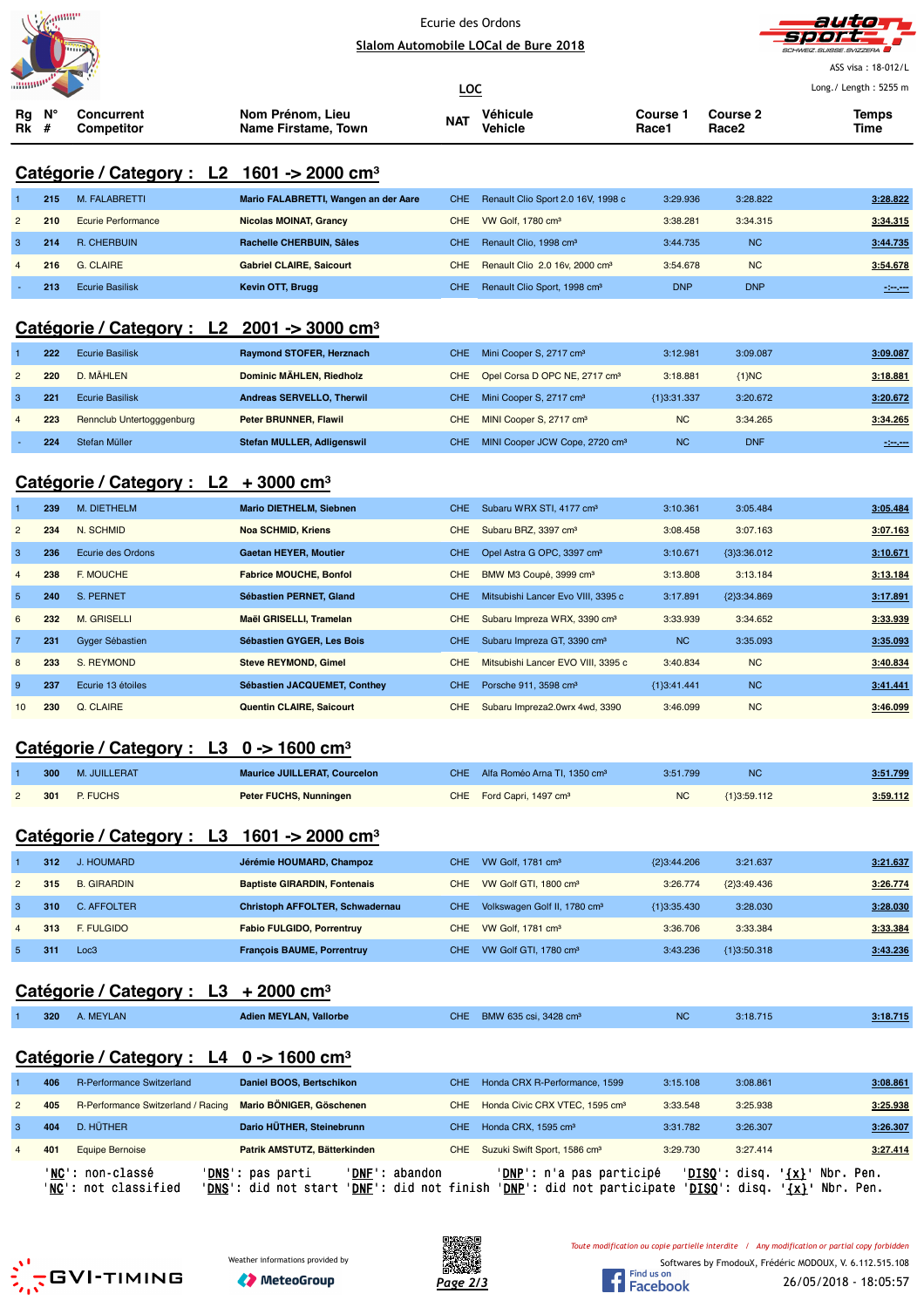



|                                                                                                                                                                                                    |            | umm                                                    |                                                                                                     |                          | Sialom Automobile LOCal de Bure 2018                                              |                          |                        | SCHWEIZ.SUISSE.SVIZZERA                                                                      |  |  |
|----------------------------------------------------------------------------------------------------------------------------------------------------------------------------------------------------|------------|--------------------------------------------------------|-----------------------------------------------------------------------------------------------------|--------------------------|-----------------------------------------------------------------------------------|--------------------------|------------------------|----------------------------------------------------------------------------------------------|--|--|
|                                                                                                                                                                                                    |            |                                                        |                                                                                                     |                          |                                                                                   |                          |                        | ASS visa: 18-012/L                                                                           |  |  |
|                                                                                                                                                                                                    |            |                                                        |                                                                                                     | <b>LOC</b>               |                                                                                   |                          |                        | Long./ Length: 5255 m                                                                        |  |  |
| Rg<br>Rk                                                                                                                                                                                           | #          | <b>Concurrent</b><br><b>Competitor</b>                 | Nom Prénom, Lieu<br>Name Firstame, Town                                                             | NAT                      | Véhicule<br>Vehicle                                                               | <b>Course 1</b><br>Race1 | Course 2<br>Race2      | <b>Temps</b><br>Time                                                                         |  |  |
|                                                                                                                                                                                                    |            |                                                        |                                                                                                     |                          |                                                                                   |                          |                        |                                                                                              |  |  |
|                                                                                                                                                                                                    |            | Catégorie / Category : L2 1601 -> 2000 cm <sup>3</sup> |                                                                                                     |                          |                                                                                   |                          |                        |                                                                                              |  |  |
|                                                                                                                                                                                                    | 215        | M. FALABRETTI                                          | Mario FALABRETTI, Wangen an der Aare                                                                | <b>CHE</b>               | Renault Clio Sport 2.0 16V, 1998 c                                                | 3:29.936                 | 3:28.822               | 3:28.822                                                                                     |  |  |
| $\overline{2}$                                                                                                                                                                                     | 210        | <b>Ecurie Performance</b>                              | <b>Nicolas MOINAT, Grancy</b>                                                                       | <b>CHE</b>               | VW Golf, 1780 cm <sup>3</sup>                                                     | 3:38.281                 | 3:34.315               | 3:34.315                                                                                     |  |  |
| 3                                                                                                                                                                                                  | 214        | R. CHERBUIN                                            | Rachelle CHERBUIN, Sâles                                                                            | <b>CHE</b>               | Renault Clio, 1998 cm <sup>3</sup>                                                | 3:44.735                 | <b>NC</b>              | 3:44.735                                                                                     |  |  |
|                                                                                                                                                                                                    | 216        | <b>G. CLAIRE</b>                                       | <b>Gabriel CLAIRE, Saicourt</b>                                                                     | <b>CHE</b>               | Renault Clio 2.0 16v, 2000 cm <sup>3</sup>                                        | 3:54.678                 | <b>NC</b>              | 3:54.678                                                                                     |  |  |
|                                                                                                                                                                                                    | 213        | <b>Ecurie Basilisk</b>                                 | Kevin OTT, Brugg                                                                                    | <b>CHE</b>               | Renault Clio Sport, 1998 cm <sup>3</sup>                                          | <b>DNP</b>               | <b>DNP</b>             | $-200$                                                                                       |  |  |
|                                                                                                                                                                                                    |            |                                                        |                                                                                                     |                          |                                                                                   |                          |                        |                                                                                              |  |  |
| Catégorie / Category : $L2$ 2001 -> 3000 cm <sup>3</sup><br><b>Ecurie Basilisk</b><br>Raymond STOFER, Herznach<br>222<br><b>CHE</b><br>Mini Cooper S, 2717 cm <sup>3</sup><br>3:12.981<br>3:09.087 |            |                                                        |                                                                                                     |                          |                                                                                   |                          |                        |                                                                                              |  |  |
| 2                                                                                                                                                                                                  | 220        | D. MÄHLEN                                              | Dominic MÄHLEN, Riedholz                                                                            |                          |                                                                                   | 3:18.881                 |                        | 3:09.087                                                                                     |  |  |
| $\ensuremath{\mathsf{3}}$                                                                                                                                                                          | 221        | <b>Ecurie Basilisk</b>                                 | Andreas SERVELLO, Therwil                                                                           | <b>CHE</b><br><b>CHE</b> | Opel Corsa D OPC NE, 2717 cm <sup>3</sup>                                         |                          | ${1}NC$                | 3:18.881                                                                                     |  |  |
|                                                                                                                                                                                                    |            |                                                        |                                                                                                     |                          | Mini Cooper S, 2717 cm <sup>3</sup>                                               | ${1}3:31.337$            | 3:20.672               | 3:20.672                                                                                     |  |  |
|                                                                                                                                                                                                    | 223<br>224 | Rennclub Untertogggenburg<br>Stefan Müller             | Peter BRUNNER, Flawil<br><b>Stefan MULLER, Adligenswil</b>                                          | <b>CHE</b><br><b>CHE</b> | MINI Cooper S, 2717 cm <sup>3</sup><br>MINI Cooper JCW Cope, 2720 cm <sup>3</sup> | NC<br><b>NC</b>          | 3:34.265<br><b>DNF</b> | 3:34.265                                                                                     |  |  |
|                                                                                                                                                                                                    |            |                                                        |                                                                                                     |                          |                                                                                   |                          |                        | سيبير                                                                                        |  |  |
|                                                                                                                                                                                                    |            | Catégorie / Category : $L2 + 3000$ cm <sup>3</sup>     |                                                                                                     |                          |                                                                                   |                          |                        |                                                                                              |  |  |
|                                                                                                                                                                                                    | 239        | M. DIETHELM                                            | <b>Mario DIETHELM, Siebnen</b>                                                                      | <b>CHE</b>               | Subaru WRX STI, 4177 cm <sup>3</sup>                                              | 3:10.361                 | 3:05.484               | 3:05.484                                                                                     |  |  |
| $\overline{2}$                                                                                                                                                                                     | 234        | N. SCHMID                                              | <b>Noa SCHMID, Kriens</b>                                                                           | <b>CHE</b>               | Subaru BRZ, 3397 cm <sup>3</sup>                                                  | 3:08.458                 | 3:07.163               | 3:07.163                                                                                     |  |  |
| 3                                                                                                                                                                                                  | 236        | Ecurie des Ordons                                      | <b>Gaetan HEYER, Moutier</b>                                                                        | <b>CHE</b>               | Opel Astra G OPC, 3397 cm <sup>3</sup>                                            | 3:10.671                 | ${3}3:36.012$          | 3:10.671                                                                                     |  |  |
| 4                                                                                                                                                                                                  | 238        | F. MOUCHE                                              | <b>Fabrice MOUCHE, Bonfol</b>                                                                       | <b>CHE</b>               | BMW M3 Coupé, 3999 cm <sup>3</sup>                                                | 3:13.808                 | 3:13.184               | 3:13.184                                                                                     |  |  |
| 5                                                                                                                                                                                                  | 240        | S. PERNET                                              | Sébastien PERNET, Gland                                                                             | <b>CHE</b>               | Mitsubishi Lancer Evo VIII, 3395 c                                                | 3:17.891                 | ${2}3:34.869$          | 3:17.891                                                                                     |  |  |
| 6                                                                                                                                                                                                  | 232        | <b>M. GRISELLI</b>                                     | Maël GRISELLI, Tramelan                                                                             | <b>CHE</b>               | Subaru Impreza WRX, 3390 cm <sup>3</sup>                                          | 3:33.939                 | 3:34.652               | 3:33.939                                                                                     |  |  |
| $\overline{7}$                                                                                                                                                                                     | 231        | Gyger Sébastien                                        | Sébastien GYGER, Les Bois                                                                           | <b>CHE</b>               | Subaru Impreza GT, 3390 cm <sup>3</sup>                                           | NC                       | 3:35.093               | 3:35.093                                                                                     |  |  |
| 8                                                                                                                                                                                                  | 233        | S. REYMOND                                             | <b>Steve REYMOND, Gimel</b>                                                                         | CHE                      | Mitsubishi Lancer EVO VIII, 3395 c                                                | 3:40.834                 | <b>NC</b>              | 3:40.834                                                                                     |  |  |
| 9                                                                                                                                                                                                  | 237        | Ecurie 13 étoiles                                      | Sébastien JACQUEMET, Conthey                                                                        | <b>CHE</b>               | Porsche 911, 3598 cm <sup>3</sup>                                                 | ${1}3:41.441$            | <b>NC</b>              | 3:41.441                                                                                     |  |  |
| 10                                                                                                                                                                                                 | 230        | Q. CLAIRE                                              | Quentin CLAIRE, Saicourt                                                                            | <b>CHE</b>               | Subaru Impreza2.0wrx 4wd, 3390                                                    | 3:46.099                 | <b>NC</b>              | 3:46.099                                                                                     |  |  |
|                                                                                                                                                                                                    |            |                                                        |                                                                                                     |                          |                                                                                   |                          |                        |                                                                                              |  |  |
|                                                                                                                                                                                                    |            | Catégorie / Category : L3 0 -> 1600 cm <sup>3</sup>    |                                                                                                     |                          |                                                                                   |                          |                        |                                                                                              |  |  |
|                                                                                                                                                                                                    | 300        | M. JUILLERAT                                           | <b>Maurice JUILLERAT, Courcelon</b>                                                                 | CHE                      | Alfa Roméo Arna TI, 1350 cm <sup>3</sup>                                          | 3:51.799                 | <b>NC</b>              | 3:51.799                                                                                     |  |  |
| 2                                                                                                                                                                                                  | 301        | P. FUCHS                                               | <b>Peter FUCHS, Nunningen</b>                                                                       | CHE                      | Ford Capri, 1497 cm <sup>3</sup>                                                  | NC                       | ${1}3:59.112$          | 3:59.112                                                                                     |  |  |
|                                                                                                                                                                                                    |            |                                                        |                                                                                                     |                          |                                                                                   |                          |                        |                                                                                              |  |  |
|                                                                                                                                                                                                    |            | Catégorie / Category : L3 1601 -> 2000 cm <sup>3</sup> |                                                                                                     |                          |                                                                                   |                          |                        |                                                                                              |  |  |
|                                                                                                                                                                                                    | 312        | J. HOUMARD                                             | Jérémie HOUMARD, Champoz                                                                            | <b>CHE</b>               | VW Golf, 1781 cm <sup>3</sup>                                                     | ${2}3:44.206$            | 3:21.637               | 3:21.637                                                                                     |  |  |
| $\overline{c}$                                                                                                                                                                                     | 315        | <b>B. GIRARDIN</b>                                     | <b>Baptiste GIRARDIN, Fontenais</b>                                                                 | <b>CHE</b>               | VW Golf GTI, 1800 cm <sup>3</sup>                                                 | 3:26.774                 | {2}3:49.436            | 3:26.774                                                                                     |  |  |
| 3                                                                                                                                                                                                  | 310        | C. AFFOLTER                                            | Christoph AFFOLTER, Schwadernau                                                                     | <b>CHE</b>               | Volkswagen Golf II, 1780 cm <sup>3</sup>                                          | ${1}3:35.430$            | 3:28.030               | 3:28.030                                                                                     |  |  |
| 4                                                                                                                                                                                                  | 313        | F. FULGIDO                                             | <b>Fabio FULGIDO, Porrentruy</b>                                                                    | <b>CHE</b>               | VW Golf, 1781 cm <sup>3</sup>                                                     | 3:36.706                 | 3:33.384               | 3:33.384                                                                                     |  |  |
| $\sqrt{5}$                                                                                                                                                                                         | 311        | Loc3                                                   | <b>François BAUME, Porrentruy</b>                                                                   | CHE.                     | VW Golf GTI, 1780 cm <sup>3</sup>                                                 | 3:43.236                 | ${1}3:50.318$          | 3:43.236                                                                                     |  |  |
|                                                                                                                                                                                                    |            |                                                        |                                                                                                     |                          |                                                                                   |                          |                        |                                                                                              |  |  |
|                                                                                                                                                                                                    |            | Catégorie / Category : $L3 + 2000$ cm <sup>3</sup>     |                                                                                                     |                          |                                                                                   |                          |                        |                                                                                              |  |  |
|                                                                                                                                                                                                    | 320        | A. MEYLAN                                              | <b>Adien MEYLAN, Vallorbe</b>                                                                       | <b>CHE</b>               | BMW 635 csi, 3428 cm <sup>3</sup>                                                 | <b>NC</b>                | 3:18.715               | 3:18.715                                                                                     |  |  |
|                                                                                                                                                                                                    |            |                                                        |                                                                                                     |                          |                                                                                   |                          |                        |                                                                                              |  |  |
|                                                                                                                                                                                                    |            | Catégorie / Category : L4 0 -> 1600 cm <sup>3</sup>    |                                                                                                     |                          |                                                                                   |                          |                        |                                                                                              |  |  |
|                                                                                                                                                                                                    | 406        | R-Performance Switzerland                              | Daniel BOOS, Bertschikon                                                                            | <b>CHE</b>               | Honda CRX R-Performance, 1599                                                     | 3:15.108                 | 3:08.861               | 3:08.861                                                                                     |  |  |
| 2                                                                                                                                                                                                  | 405        | R-Performance Switzerland / Racing                     | <b>Mario BONIGER, Göschenen</b>                                                                     | <b>CHE</b>               | Honda Civic CRX VTEC, 1595 cm <sup>3</sup>                                        | 3:33.548                 | 3:25.938               | 3:25.938                                                                                     |  |  |
| 3                                                                                                                                                                                                  | 404        | D. HÜTHER                                              | Dario HÜTHER, Steinebrunn                                                                           | <b>CHE</b>               | Honda CRX, 1595 cm <sup>3</sup>                                                   | 3:31.782                 | 3:26.307               | 3:26.307                                                                                     |  |  |
| $\overline{4}$                                                                                                                                                                                     | 401        | <b>Equipe Bernoise</b>                                 | Patrik AMSTUTZ, Bätterkinden                                                                        |                          | CHE Suzuki Swift Sport, 1586 cm <sup>3</sup>                                      | 3:29.730                 | 3:27.414               | 3:27.414                                                                                     |  |  |
|                                                                                                                                                                                                    |            | 'NC': non-classé                                       | 'DNE': abandon<br>'DNS': pas parti                                                                  |                          | ' <mark>DNP</mark> ': n'a pas participé                                           |                          |                        | 'DISQ': disq. ' <u>{x}</u> ' Nbr. Pen.                                                       |  |  |
|                                                                                                                                                                                                    |            | ' <u>NC</u> ': not classified                          | 'DNS': did not start 'DNE': did not finish 'DNP': did not participate 'DISQ': disq. '{x}' Nbr. Pen. |                          |                                                                                   |                          |                        |                                                                                              |  |  |
|                                                                                                                                                                                                    |            |                                                        |                                                                                                     |                          |                                                                                   |                          |                        |                                                                                              |  |  |
|                                                                                                                                                                                                    |            |                                                        |                                                                                                     |                          |                                                                                   |                          |                        | Toute modification ou copie partielle interdite / Any modification or partial copy forbidden |  |  |
|                                                                                                                                                                                                    |            |                                                        | Weather informations provided by                                                                    |                          |                                                                                   |                          |                        | Softwares by FmodouX, Frédéric MODOUX, V. 6.112.515.108                                      |  |  |





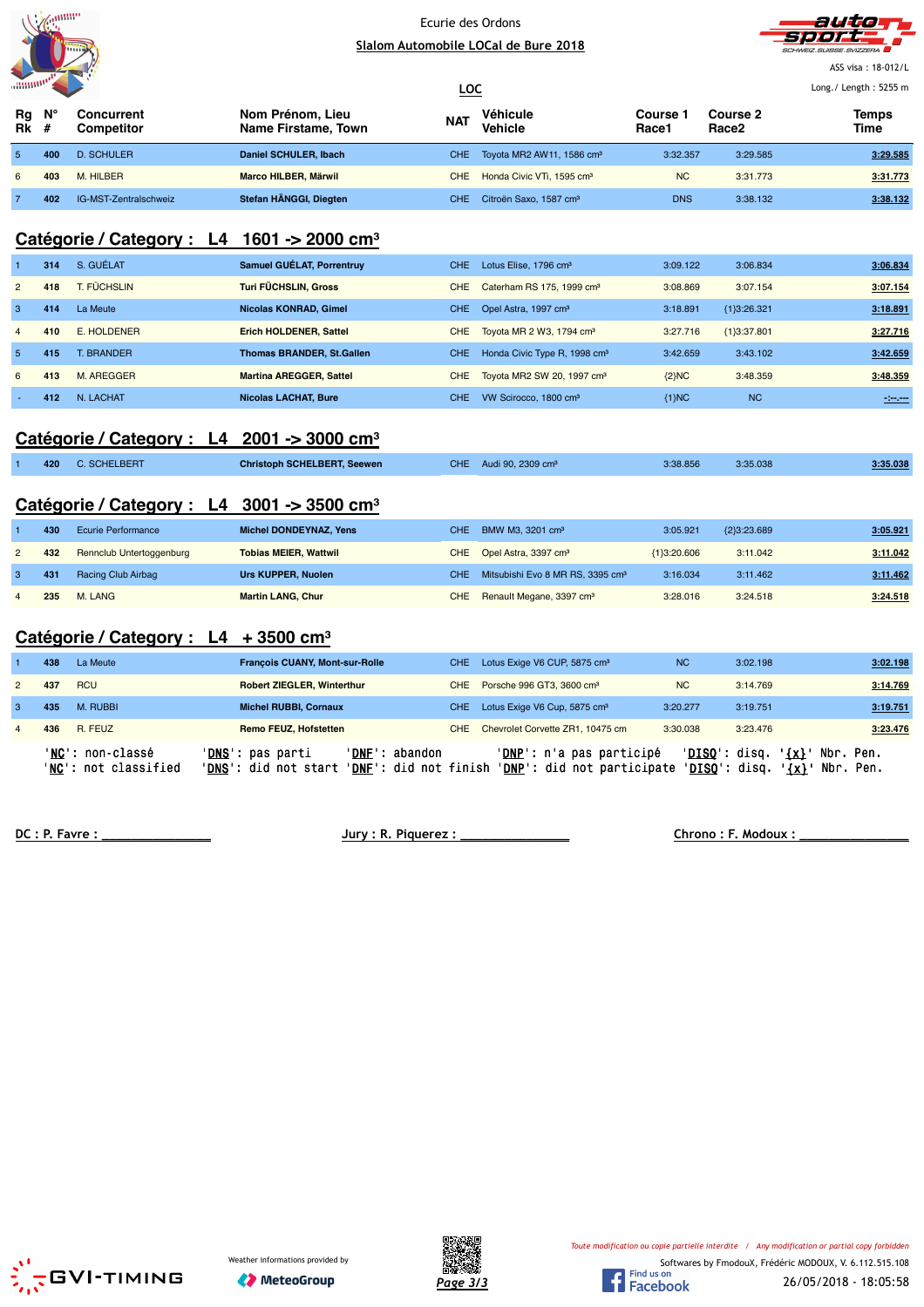



ASS visa : 18-012/L  $L_{\rm E}$  . 5255  $\pm$ 

|                   |     |                                 |                                         | <u>LOC</u> |                                           | Long./ Length: 5255 m  |                               |               |
|-------------------|-----|---------------------------------|-----------------------------------------|------------|-------------------------------------------|------------------------|-------------------------------|---------------|
| Rg<br><b>Rk</b> # | Ν°  | Concurrent<br><b>Competitor</b> | Nom Prénom, Lieu<br>Name Firstame, Town | <b>NAT</b> | Véhicule<br><b>Vehicle</b>                | <b>Course</b><br>Race1 | Course 2<br>Race <sub>2</sub> | Temps<br>Time |
| 5.                | 400 | <b>D. SCHULER</b>               | Daniel SCHULER, Ibach                   |            | CHE Toyota MR2 AW11, 1586 cm <sup>3</sup> | 3:32.357               | 3:29.585                      | 3:29.585      |
| 6                 | 403 | M. HILBER                       | Marco HILBER, Märwil                    |            | CHE Honda Civic VTi, 1595 cm <sup>3</sup> | <b>NC</b>              | 3:31.773                      | 3:31.773      |
|                   | 402 | IG-MST-Zentralschweiz           | Stefan HÄNGGI, Diegten                  | CHE.       | Citroën Saxo, 1587 cm <sup>3</sup>        | <b>DNS</b>             | 3:38.132                      | 3:38.132      |

## **Catégorie / Category : L4 1601 -> 2000 cm³**

|                | 314 | S. GUÉLAT      | Samuel GUÉLAT, Porrentruy        | CHE.       | Lotus Elise, 1796 cm <sup>3</sup>        | 3:09.122 | 3:06.834      | 3:06.834 |
|----------------|-----|----------------|----------------------------------|------------|------------------------------------------|----------|---------------|----------|
| $\overline{2}$ | 418 | T. FÜCHSLIN    | Turi FÜCHSLIN, Gross             | <b>CHE</b> | Caterham RS 175, 1999 cm <sup>3</sup>    | 3:08.869 | 3:07.154      | 3:07.154 |
| 3              | 414 | La Meute       | Nicolas KONRAD, Gimel            | CHE.       | Opel Astra, 1997 cm <sup>3</sup>         | 3:18.891 | ${1}3:26.321$ | 3:18.891 |
| $\overline{4}$ | 410 | E. HOLDENER    | <b>Erich HOLDENER, Sattel</b>    | CHE.       | Toyota MR 2 W3, 1794 cm <sup>3</sup>     | 3:27.716 | ${1}3:37.801$ | 3:27.716 |
| -5             | 415 | <b>BRANDER</b> | <b>Thomas BRANDER, St.Gallen</b> | CHE.       | Honda Civic Type R, 1998 cm <sup>3</sup> | 3:42.659 | 3:43.102      | 3:42.659 |
| 6              | 413 | M. AREGGER     | <b>Martina AREGGER, Sattel</b>   | CHE        | Toyota MR2 SW 20, 1997 cm <sup>3</sup>   | ${2}MC$  | 3:48.359      | 3:48.359 |
|                | 412 | N. LACHAT      | <b>Nicolas LACHAT, Bure</b>      | CHE.       | VW Scirocco, 1800 cm <sup>3</sup>        | {1}NC    | <b>NC</b>     | $-200$   |

### **Catégorie / Category : L4 2001 -> 3000 cm³**

| 420 | <b>C. SCHELBERT</b> | <b>Christoph SCHELBERT, Seewen</b> | CHE | Audi 90, 2309 cm <sup>3</sup> | 3:38.856 | 3:35.038 | 3:35.038 |
|-----|---------------------|------------------------------------|-----|-------------------------------|----------|----------|----------|
|     |                     |                                    |     |                               |          |          |          |

## **Catégorie / Category : L4 3001 -> 3500 cm³**

| 430 | Ecurie Performance              | Michel DONDEYNAZ, Yens       | CHE BMW M3, 3201 cm <sup>3</sup>                 | 3:05.921      | ${2}3:23.689$ | 3:05.921 |
|-----|---------------------------------|------------------------------|--------------------------------------------------|---------------|---------------|----------|
| 432 | <b>Rennclub Untertoggenburg</b> | <b>Tobias MEIER, Wattwil</b> | CHE Opel Astra, 3397 cm <sup>3</sup>             | ${1}3:20.606$ | 3:11.042      | 3:11.042 |
| 431 | Racing Club Airbag              | Urs KUPPER, Nuolen           | CHE Mitsubishi Evo 8 MR RS, 3395 cm <sup>3</sup> | 3:16.034      | 3:11.462      | 3:11.462 |
| 235 | M. LANG                         | <b>Martin LANG, Chur</b>     | CHE Renault Megane, 3397 cm <sup>3</sup>         | 3:28.016      | 3:24.518      | 3:24.518 |

## **Catégorie / Category : L4 + 3500 cm³**

|                | 438 | La Meute                                         | <b>François CUANY, Mont-sur-Rolle</b>                                | CHE.                                      | Lotus Exige V6 CUP, 5875 cm <sup>3</sup>                        | <b>NC</b> | 3:02.198                                                   | 3:02.198                     |
|----------------|-----|--------------------------------------------------|----------------------------------------------------------------------|-------------------------------------------|-----------------------------------------------------------------|-----------|------------------------------------------------------------|------------------------------|
| $\mathbf{2}$   | 437 | <b>RCU</b>                                       | <b>Robert ZIEGLER, Winterthur</b>                                    | CHE                                       | Porsche 996 GT3, 3600 cm <sup>3</sup>                           | <b>NC</b> | 3:14.769                                                   | 3:14.769                     |
|                | 435 | M. RUBBI                                         | <b>Michel RUBBI, Cornaux</b>                                         | CHE.                                      | Lotus Exige V6 Cup, 5875 cm <sup>3</sup>                        | 3:20.277  | 3:19.751                                                   | 3:19.751                     |
| $\overline{4}$ | 436 | R. FEUZ                                          | <b>Remo FEUZ. Hofstetten</b>                                         | CHE                                       | Chevrolet Corvette ZR1, 10475 cm                                | 3:30.038  | 3:23.476                                                   | 3:23.476                     |
|                |     | ' <b>NC':</b> non-classé<br>'NC': not classified | ' <b>DNS</b> ': pas parti<br>'DNF':<br>' <b>DNS</b> ': did not start | abandon<br>' <b>DNF</b> ': did not finish | ' <b>DNP</b> ': n'a pas participé<br>'DNP': did not participate |           | $'DISO':$ disq.<br>' {x} '<br>' <mark>DISQ</mark> ': disq. | Nbr. Pen.<br>'{x}' Nbr. Pen. |

**DC : P. Favre : \_\_\_\_\_\_\_\_\_\_\_\_\_\_\_ Jury : R. Piquerez : \_\_\_\_\_\_\_\_\_\_\_\_\_\_\_ Chrono : F. Modoux : \_\_\_\_\_\_\_\_\_\_\_\_\_\_\_**





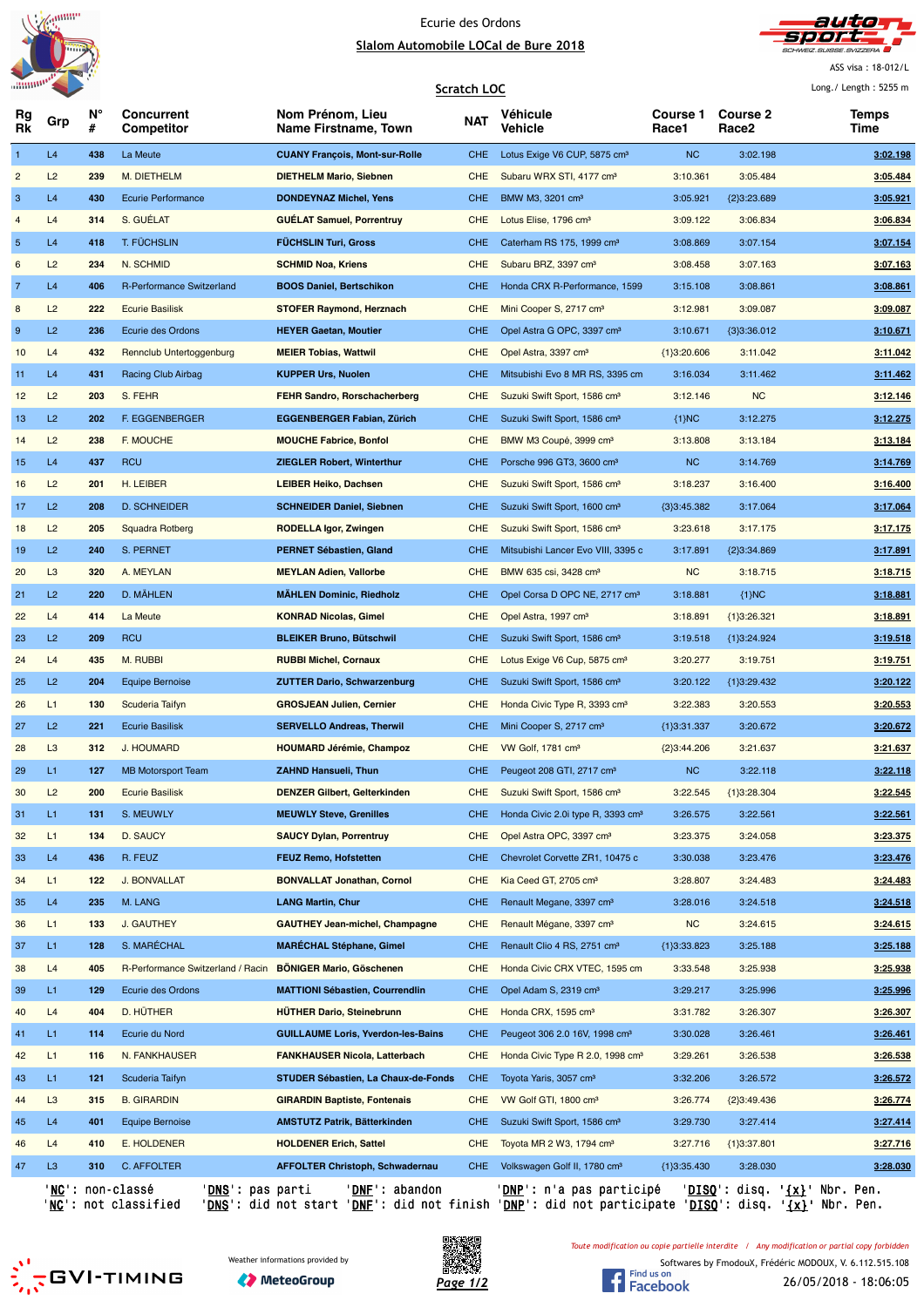



ASS visa : 18-012/L

|                           |                |         |                                      |                                           | <b>Scratch LOC</b> |                                               |                          |                          | Long. / Length: $5255$ m |
|---------------------------|----------------|---------|--------------------------------------|-------------------------------------------|--------------------|-----------------------------------------------|--------------------------|--------------------------|--------------------------|
| Rg<br>Rk                  | Grp            | N°<br># | Concurrent<br>Competitor             | Nom Prénom, Lieu<br>Name Firstname, Town  | <b>NAT</b>         | Véhicule<br>Vehicle                           | <b>Course 1</b><br>Race1 | <b>Course 2</b><br>Race2 | Temps<br>Time            |
| $\mathbf{1}$              | L4             | 438     | La Meute                             | <b>CUANY François, Mont-sur-Rolle</b>     | <b>CHE</b>         | Lotus Exige V6 CUP, 5875 cm <sup>3</sup>      | <b>NC</b>                | 3:02.198                 | 3:02.198                 |
| $\overline{c}$            | L2             | 239     | M. DIETHELM                          | <b>DIETHELM Mario, Siebnen</b>            | <b>CHE</b>         | Subaru WRX STI, 4177 cm <sup>3</sup>          | 3:10.361                 | 3:05.484                 | 3:05.484                 |
| $\ensuremath{\mathsf{3}}$ | L4             | 430     | <b>Ecurie Performance</b>            | <b>DONDEYNAZ Michel, Yens</b>             | <b>CHE</b>         | BMW M3, 3201 cm <sup>3</sup>                  | 3:05.921                 | ${2}3:23.689$            | 3:05.921                 |
| 4                         | L4             | 314     | S. GUÉLAT                            | <b>GUELAT Samuel, Porrentruy</b>          | <b>CHE</b>         | Lotus Elise, 1796 cm <sup>3</sup>             | 3:09.122                 | 3:06.834                 | 3:06.834                 |
| 5                         | L4             | 418     | T. FÜCHSLIN                          | <b>FUCHSLIN Turi, Gross</b>               | <b>CHE</b>         | Caterham RS 175, 1999 cm <sup>3</sup>         | 3:08.869                 | 3:07.154                 | 3:07.154                 |
| $\,$ 6 $\,$               | L2             | 234     | N. SCHMID                            | <b>SCHMID Noa, Kriens</b>                 | <b>CHE</b>         | Subaru BRZ, 3397 cm <sup>3</sup>              | 3:08.458                 | 3:07.163                 | 3:07.163                 |
| $\overline{7}$            | L4             | 406     | R-Performance Switzerland            | <b>BOOS Daniel, Bertschikon</b>           | <b>CHE</b>         | Honda CRX R-Performance, 1599                 | 3:15.108                 | 3:08.861                 | 3:08.861                 |
| 8                         | L2             | 222     | <b>Ecurie Basilisk</b>               | <b>STOFER Raymond, Herznach</b>           | <b>CHE</b>         | Mini Cooper S, 2717 cm <sup>3</sup>           | 3:12.981                 | 3:09.087                 | 3:09.087                 |
| 9                         | L2             | 236     | Ecurie des Ordons                    | <b>HEYER Gaetan, Moutier</b>              | CHE.               | Opel Astra G OPC, 3397 cm <sup>3</sup>        | 3:10.671                 | ${3}3:36.012$            | 3:10.671                 |
| 10                        | L4             | 432     | Rennclub Untertoggenburg             | <b>MEIER Tobias, Wattwil</b>              | <b>CHE</b>         | Opel Astra, 3397 cm <sup>3</sup>              | ${1}3:20.606$            | 3:11.042                 | 3:11.042                 |
| 11                        | L4             | 431     | Racing Club Airbag                   | <b>KUPPER Urs, Nuolen</b>                 | <b>CHE</b>         | Mitsubishi Evo 8 MR RS, 3395 cm               | 3:16.034                 | 3:11.462                 | 3:11.462                 |
| 12                        | L2             | 203     | S. FEHR                              | <b>FEHR Sandro, Rorschacherberg</b>       | <b>CHE</b>         | Suzuki Swift Sport, 1586 cm <sup>3</sup>      | 3:12.146                 | <b>NC</b>                | 3:12.146                 |
| 13                        | L2             | 202     | F. EGGENBERGER                       | <b>EGGENBERGER Fabian, Zürich</b>         | <b>CHE</b>         | Suzuki Swift Sport, 1586 cm <sup>3</sup>      | ${1}MC$                  | 3:12.275                 | 3:12.275                 |
| 14                        | L2             | 238     | F. MOUCHE                            | <b>MOUCHE Fabrice, Bonfol</b>             | <b>CHE</b>         | BMW M3 Coupé, 3999 cm <sup>3</sup>            | 3:13.808                 | 3:13.184                 | 3:13.184                 |
| 15                        | L4             | 437     | <b>RCU</b>                           | <b>ZIEGLER Robert, Winterthur</b>         | <b>CHE</b>         | Porsche 996 GT3, 3600 cm <sup>3</sup>         | <b>NC</b>                | 3:14.769                 | 3:14.769                 |
| 16                        | L2             | 201     | H. LEIBER                            | <b>LEIBER Heiko, Dachsen</b>              | <b>CHE</b>         | Suzuki Swift Sport, 1586 cm <sup>3</sup>      | 3:18.237                 | 3:16.400                 | 3:16.400                 |
| 17                        | L2             | 208     | <b>D. SCHNEIDER</b>                  | <b>SCHNEIDER Daniel, Siebnen</b>          | <b>CHE</b>         | Suzuki Swift Sport, 1600 cm <sup>3</sup>      | ${3}3:45.382$            | 3:17.064                 | 3:17.064                 |
| 18                        | L2             | 205     | Squadra Rotberg                      | RODELLA Igor, Zwingen                     | <b>CHE</b>         | Suzuki Swift Sport, 1586 cm <sup>3</sup>      | 3:23.618                 | 3:17.175                 | 3:17.175                 |
| 19                        | L2             | 240     | S. PERNET                            | <b>PERNET Sébastien, Gland</b>            | <b>CHE</b>         | Mitsubishi Lancer Evo VIII, 3395 c            | 3:17.891                 | ${2}3:34.869$            | 3:17.891                 |
| 20                        | L <sub>3</sub> | 320     | A. MEYLAN                            | <b>MEYLAN Adien, Vallorbe</b>             | <b>CHE</b>         | BMW 635 csi, 3428 cm <sup>3</sup>             | <b>NC</b>                | 3:18.715                 | 3:18.715                 |
| 21                        | L2             | 220     | D. MÄHLEN                            | <b>MÄHLEN Dominic, Riedholz</b>           | <b>CHE</b>         | Opel Corsa D OPC NE, 2717 cm <sup>3</sup>     | 3:18.881                 | ${1}MC$                  | 3:18.881                 |
| 22                        | L4             | 414     | La Meute                             | <b>KONRAD Nicolas, Gimel</b>              | <b>CHE</b>         | Opel Astra, 1997 cm <sup>3</sup>              | 3:18.891                 | ${1}3:26.321$            | 3:18.891                 |
| 23                        | L2             | 209     | <b>RCU</b>                           | <b>BLEIKER Bruno, Bütschwil</b>           | <b>CHE</b>         | Suzuki Swift Sport, 1586 cm <sup>3</sup>      | 3:19.518                 | ${1}3:24.924$            | 3:19.518                 |
| 24                        | L4             | 435     | M. RUBBI                             | <b>RUBBI Michel, Cornaux</b>              | <b>CHE</b>         | Lotus Exige V6 Cup, 5875 cm <sup>3</sup>      | 3:20.277                 | 3:19.751                 | 3:19.751                 |
| 25                        | L2             | 204     | <b>Equipe Bernoise</b>               | <b>ZUTTER Dario, Schwarzenburg</b>        | CHE.               | Suzuki Swift Sport, 1586 cm <sup>3</sup>      | 3:20.122                 | ${1}3:29.432$            | 3:20.122                 |
| 26                        | L1             | 130     | Scuderia Taifyn                      | <b>GROSJEAN Julien, Cernier</b>           | <b>CHE</b>         |                                               | 3:22.383                 | 3:20.553                 | 3:20.553                 |
|                           | L2             |         |                                      |                                           |                    | Honda Civic Type R, 3393 cm <sup>3</sup>      |                          |                          |                          |
| 27                        |                | 221     | <b>Ecurie Basilisk</b><br>J. HOUMARD | <b>SERVELLO Andreas, Therwil</b>          | <b>CHE</b>         | Mini Cooper S, 2717 cm <sup>3</sup>           | ${1}3:31.337$            | 3:20.672                 | 3:20.672                 |
| 28                        | L <sub>3</sub> | 312     |                                      | <b>HOUMARD Jérémie, Champoz</b>           | <b>CHE</b>         | VW Golf, 1781 cm <sup>3</sup>                 | ${2}3:44.206$            | 3:21.637                 | 3:21.637                 |
| 29                        | L1             | 127     | <b>MB Motorsport Team</b>            | <b>ZAHND Hansueli, Thun</b>               | CHE.               | Peugeot 208 GTI, 2717 cm <sup>3</sup>         | <b>NC</b>                | 3:22.118                 | 3:22.118                 |
| 30                        | L2             | 200     | <b>Ecurie Basilisk</b>               | <b>DENZER Gilbert, Gelterkinden</b>       | <b>CHE</b>         | Suzuki Swift Sport, 1586 cm <sup>3</sup>      | 3:22.545                 | ${1}3:28.304$            | 3:22.545                 |
| 31                        | L1             | 131     | S. MEUWLY                            | <b>MEUWLY Steve, Grenilles</b>            | CHE                | Honda Civic 2.0i type R, 3393 cm <sup>3</sup> | 3:26.575                 | 3:22.561                 | 3:22.561                 |
| 32                        | L1             | 134     | <b>D. SAUCY</b>                      | <b>SAUCY Dylan, Porrentruy</b>            | <b>CHE</b>         | Opel Astra OPC, 3397 cm <sup>3</sup>          | 3:23.375                 | 3:24.058                 | 3:23.375                 |
| 33                        | L4             | 436     | R. FEUZ                              | <b>FEUZ Remo, Hofstetten</b>              | <b>CHE</b>         | Chevrolet Corvette ZR1, 10475 c               | 3:30.038                 | 3:23.476                 | 3:23.476                 |
| 34                        | L1             | 122     | J. BONVALLAT                         | <b>BONVALLAT Jonathan, Cornol</b>         | <b>CHE</b>         | Kia Ceed GT, 2705 cm <sup>3</sup>             | 3:28.807                 | 3:24.483                 | 3:24.483                 |
| 35                        | L4             | 235     | M. LANG                              | <b>LANG Martin, Chur</b>                  | <b>CHE</b>         | Renault Megane, 3397 cm <sup>3</sup>          | 3:28.016                 | 3:24.518                 | 3:24.518                 |
| 36                        | L1             | 133     | J. GAUTHEY                           | <b>GAUTHEY Jean-michel, Champagne</b>     | <b>CHE</b>         | Renault Mégane, 3397 cm <sup>3</sup>          | <b>NC</b>                | 3:24.615                 | 3:24.615                 |
| 37                        | L1             | 128     | S. MARÉCHAL                          | <b>MARÉCHAL Stéphane, Gimel</b>           | <b>CHE</b>         | Renault Clio 4 RS, 2751 cm <sup>3</sup>       | ${1}3:33.823$            | 3:25.188                 | 3:25.188                 |
| 38                        | L4             | 405     | R-Performance Switzerland / Racin    | <b>BONIGER Mario, Göschenen</b>           | <b>CHE</b>         | Honda Civic CRX VTEC, 1595 cm                 | 3:33.548                 | 3:25.938                 | 3:25.938                 |
| 39                        | L1             | 129     | Ecurie des Ordons                    | <b>MATTIONI Sébastien, Courrendlin</b>    | <b>CHE</b>         | Opel Adam S, 2319 cm <sup>3</sup>             | 3:29.217                 | 3:25.996                 | 3:25.996                 |
| 40                        | L4             | 404     | D. HÜTHER                            | <b>HÜTHER Dario, Steinebrunn</b>          | <b>CHE</b>         | Honda CRX, 1595 cm <sup>3</sup>               | 3:31.782                 | 3:26.307                 | 3:26.307                 |
| 41                        | L1             | 114     | Ecurie du Nord                       | <b>GUILLAUME Loris, Yverdon-les-Bains</b> | <b>CHE</b>         | Peugeot 306 2.0 16V, 1998 cm <sup>3</sup>     | 3:30.028                 | 3:26.461                 | 3:26.461                 |
| 42                        | L1             | 116     | N. FANKHAUSER                        | <b>FANKHAUSER Nicola, Latterbach</b>      | <b>CHE</b>         | Honda Civic Type R 2.0, 1998 cm <sup>3</sup>  | 3:29.261                 | 3:26.538                 | 3:26.538                 |
| 43                        | L1             | 121     | Scuderia Taifyn                      | STUDER Sébastien, La Chaux-de-Fonds       | <b>CHE</b>         | Toyota Yaris, 3057 cm <sup>3</sup>            | 3:32.206                 | 3:26.572                 | 3:26.572                 |
| 44                        | L3             | 315     | <b>B. GIRARDIN</b>                   | <b>GIRARDIN Baptiste, Fontenais</b>       | <b>CHE</b>         | VW Golf GTI, 1800 cm <sup>3</sup>             | 3:26.774                 | ${2}3:49.436$            | 3:26.774                 |
| 45                        | L4             | 401     | <b>Equipe Bernoise</b>               | <b>AMSTUTZ Patrik, Bätterkinden</b>       | <b>CHE</b>         | Suzuki Swift Sport, 1586 cm <sup>3</sup>      | 3:29.730                 | 3:27.414                 | 3:27.414                 |
| 46                        | L4             | 410     | E. HOLDENER                          | <b>HOLDENER Erich, Sattel</b>             | <b>CHE</b>         | Toyota MR 2 W3, 1794 cm <sup>3</sup>          | 3:27.716                 | ${1}3:37.801$            | 3:27.716                 |
| 47                        | L3             | 310     | C. AFFOLTER                          | <b>AFFOLTER Christoph, Schwadernau</b>    | <b>CHE</b>         | Volkswagen Golf II, 1780 cm <sup>3</sup>      | ${1}3:35.430$            | 3:28.030                 | 3:28.030                 |
|                           |                |         |                                      |                                           |                    |                                               |                          |                          |                          |

'<u>NC</u>': non-classé '<u>DNS</u>': pas parti '<u>DNF</u>': abandon '<u>DNP</u>': n'a pas participé '<u>DISQ</u>': disq. '<u>{x}</u>' Nbr. Pen. 'NC': not classified 'DNS': did not start 'DNF': did not finish 'DNP': did not participate 'DISQ': disq. '{x}' Nbr. Pen.

 $\frac{3!}{2!2!}$ GVI-TIMING





*Toute modification ou copie partielle interdite / Any modification or partial copy forbidden*

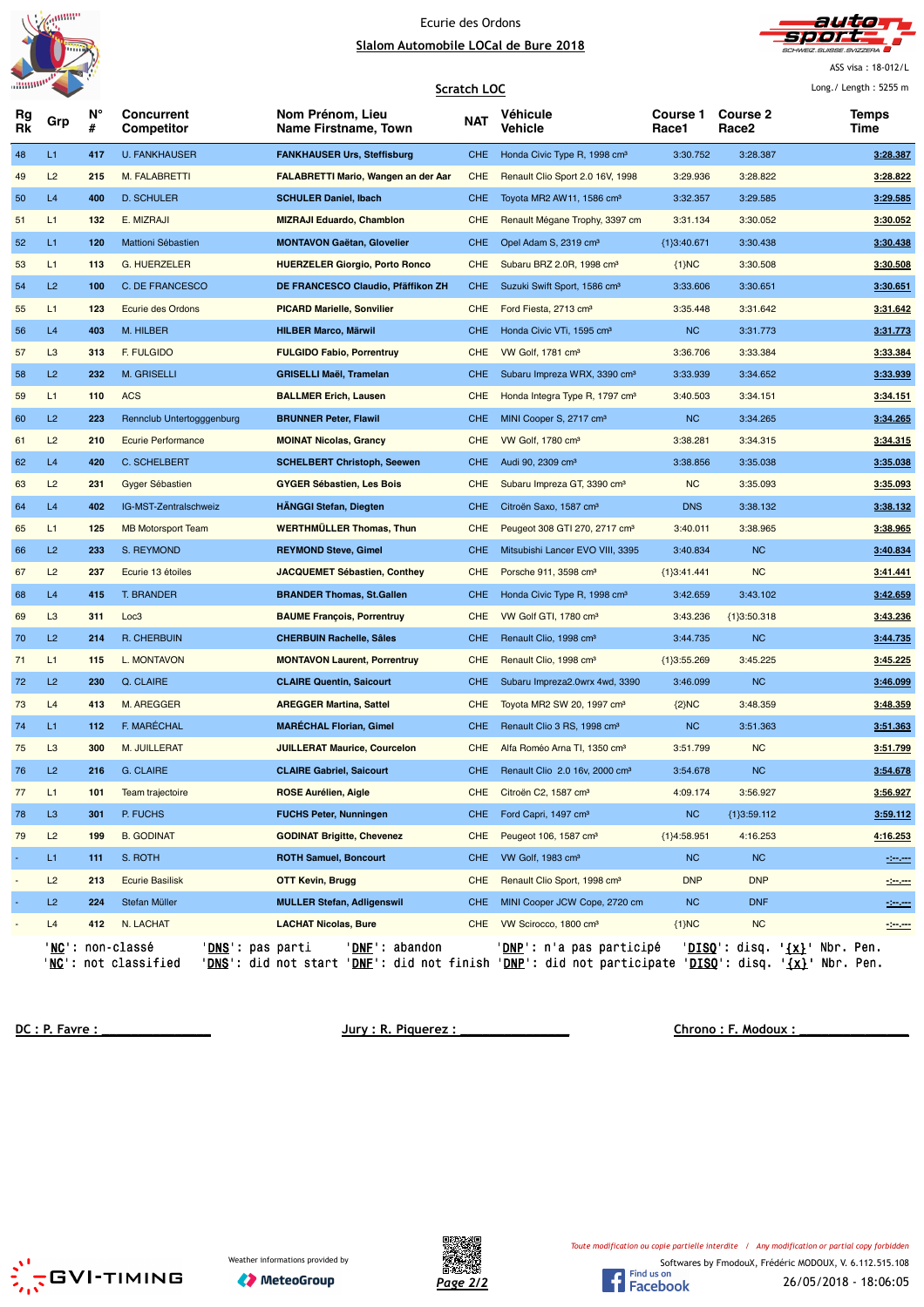



ASS visa : 18-012/L

|                |                |         |                                                                                |                                                                                                                                                                    | <b>Scratch LOC</b> |                                            |                   |                                      | Long. / Length: $5255$ m      |
|----------------|----------------|---------|--------------------------------------------------------------------------------|--------------------------------------------------------------------------------------------------------------------------------------------------------------------|--------------------|--------------------------------------------|-------------------|--------------------------------------|-------------------------------|
| Rg<br>Rk       | Grp            | N°<br># | <b>Concurrent</b><br>Competitor                                                | Nom Prénom, Lieu<br>Name Firstname, Town                                                                                                                           | <b>NAT</b>         | Véhicule<br>Vehicle                        | Course 1<br>Race1 | <b>Course 2</b><br>Race <sub>2</sub> | Temps<br>Time                 |
| 48             | L1             | 417     | <b>U. FANKHAUSER</b>                                                           | <b>FANKHAUSER Urs, Steffisburg</b>                                                                                                                                 | <b>CHE</b>         | Honda Civic Type R, 1998 cm <sup>3</sup>   | 3:30.752          | 3:28.387                             | 3:28.387                      |
| 49             | L2             | 215     | M. FALABRETTI                                                                  | <b>FALABRETTI Mario, Wangen an der Aar</b>                                                                                                                         | <b>CHE</b>         | Renault Clio Sport 2.0 16V, 1998           | 3:29.936          | 3:28.822                             | 3:28.822                      |
| 50             | L4             | 400     | <b>D. SCHULER</b>                                                              | <b>SCHULER Daniel, Ibach</b>                                                                                                                                       | <b>CHE</b>         | Toyota MR2 AW11, 1586 cm <sup>3</sup>      | 3:32.357          | 3:29.585                             | 3:29.585                      |
| 51             | L1             | 132     | E. MIZRAJI                                                                     | <b>MIZRAJI Eduardo, Chambion</b>                                                                                                                                   | CHE                | Renault Mégane Trophy, 3397 cm             | 3:31.134          | 3:30.052                             | 3:30.052                      |
| 52             | L1             | 120     | Mattioni Sébastien                                                             | <b>MONTAVON Gaëtan, Glovelier</b>                                                                                                                                  | <b>CHE</b>         | Opel Adam S, 2319 cm <sup>3</sup>          | ${1}3:40.671$     | 3:30.438                             | 3:30.438                      |
| 53             | L1             | 113     | <b>G. HUERZELER</b>                                                            | <b>HUERZELER Giorgio, Porto Ronco</b>                                                                                                                              | <b>CHE</b>         | Subaru BRZ 2.0R, 1998 cm <sup>3</sup>      | ${1}NC$           | 3:30.508                             | 3:30.508                      |
| 54             | L2             | 100     | C. DE FRANCESCO                                                                | DE FRANCESCO Claudio, Pfäffikon ZH                                                                                                                                 | <b>CHE</b>         | Suzuki Swift Sport, 1586 cm <sup>3</sup>   | 3:33.606          | 3:30.651                             | 3:30.651                      |
| 55             | L1             | 123     | <b>Ecurie des Ordons</b>                                                       | <b>PICARD Marielle, Sonvilier</b>                                                                                                                                  | <b>CHE</b>         | Ford Fiesta, 2713 cm <sup>3</sup>          | 3:35.448          | 3:31.642                             | 3:31.642                      |
| 56             | L4             | 403     | M. HILBER                                                                      | <b>HILBER Marco, Märwil</b>                                                                                                                                        | <b>CHE</b>         | Honda Civic VTi, 1595 cm <sup>3</sup>      | <b>NC</b>         | 3:31.773                             | 3:31.773                      |
| 57             | L <sub>3</sub> | 313     | F. FULGIDO                                                                     | <b>FULGIDO Fabio, Porrentruy</b>                                                                                                                                   | <b>CHE</b>         | VW Golf, 1781 cm <sup>3</sup>              | 3:36.706          | 3:33.384                             | 3:33.384                      |
| 58             | L2             | 232     | M. GRISELLI                                                                    | <b>GRISELLI Maël, Tramelan</b>                                                                                                                                     | <b>CHE</b>         | Subaru Impreza WRX, 3390 cm <sup>3</sup>   | 3:33.939          | 3:34.652                             | 3:33.939                      |
| 59             | L1             | 110     | <b>ACS</b>                                                                     | <b>BALLMER Erich, Lausen</b>                                                                                                                                       | <b>CHE</b>         | Honda Integra Type R, 1797 cm <sup>3</sup> | 3:40.503          | 3:34.151                             | 3:34.151                      |
| 60             | L2             | 223     | Rennclub Untertogggenburg                                                      | <b>BRUNNER Peter, Flawil</b>                                                                                                                                       | <b>CHE</b>         | MINI Cooper S, 2717 cm <sup>3</sup>        | NC                | 3:34.265                             | 3:34.265                      |
| 61             | L2             | 210     | <b>Ecurie Performance</b>                                                      | <b>MOINAT Nicolas, Grancy</b>                                                                                                                                      | <b>CHE</b>         | VW Golf, 1780 cm <sup>3</sup>              | 3:38.281          | 3:34.315                             | 3:34.315                      |
| 62             | L4             | 420     | C. SCHELBERT                                                                   | <b>SCHELBERT Christoph, Seewen</b>                                                                                                                                 | CHE                | Audi 90, 2309 cm <sup>3</sup>              | 3:38.856          | 3:35.038                             | 3:35.038                      |
| 63             | L2             | 231     | Gyger Sébastien                                                                | <b>GYGER Sébastien, Les Bois</b>                                                                                                                                   | <b>CHE</b>         | Subaru Impreza GT, 3390 cm <sup>3</sup>    | <b>NC</b>         | 3:35.093                             | 3:35.093                      |
| 64             | L4             | 402     | IG-MST-Zentralschweiz                                                          | <b>HÄNGGI Stefan, Diegten</b>                                                                                                                                      | <b>CHE</b>         | Citroën Saxo, 1587 cm <sup>3</sup>         | <b>DNS</b>        | 3:38.132                             | 3:38.132                      |
| 65             | L1             | 125     | <b>MB Motorsport Team</b>                                                      | <b>WERTHMÜLLER Thomas, Thun</b>                                                                                                                                    | <b>CHE</b>         | Peugeot 308 GTI 270, 2717 cm <sup>3</sup>  | 3:40.011          | 3:38.965                             | 3:38.965                      |
| 66             | L2             | 233     | S. REYMOND                                                                     | <b>REYMOND Steve, Gimel</b>                                                                                                                                        | <b>CHE</b>         | Mitsubishi Lancer EVO VIII, 3395           | 3:40.834          | <b>NC</b>                            | 3:40.834                      |
| 67             | L2             | 237     | Ecurie 13 étoiles                                                              | <b>JACQUEMET Sébastien, Conthey</b>                                                                                                                                | <b>CHE</b>         | Porsche 911, 3598 cm <sup>3</sup>          | ${1}3:41.441$     | <b>NC</b>                            | 3:41.441                      |
| 68             | L4             | 415     | T. BRANDER                                                                     | <b>BRANDER Thomas, St.Gallen</b>                                                                                                                                   | <b>CHE</b>         | Honda Civic Type R, 1998 cm <sup>3</sup>   | 3:42.659          | 3:43.102                             | 3:42.659                      |
| 69             | L <sub>3</sub> | 311     | Loc3                                                                           | <b>BAUME François, Porrentruy</b>                                                                                                                                  | <b>CHE</b>         | VW Golf GTI, 1780 cm <sup>3</sup>          | 3:43.236          | ${1}3:50.318$                        | 3:43.236                      |
| 70             | L2             | 214     | R. CHERBUIN                                                                    | <b>CHERBUIN Rachelle, Sâles</b>                                                                                                                                    | <b>CHE</b>         | Renault Clio, 1998 cm <sup>3</sup>         | 3:44.735          | <b>NC</b>                            | 3:44.735                      |
| 71             | L1             | 115     | L. MONTAVON                                                                    | <b>MONTAVON Laurent, Porrentruy</b>                                                                                                                                | <b>CHE</b>         | Renault Clio, 1998 cm <sup>3</sup>         | ${1}3:55.269$     | 3:45.225                             | 3:45.225                      |
| 72             | L2             | 230     | Q. CLAIRE                                                                      | <b>CLAIRE Quentin, Saicourt</b>                                                                                                                                    | <b>CHE</b>         | Subaru Impreza2.0wrx 4wd, 3390             | 3:46.099          | <b>NC</b>                            | 3:46.099                      |
| 73             | L4             | 413     | M. AREGGER                                                                     | <b>AREGGER Martina, Sattel</b>                                                                                                                                     | <b>CHE</b>         | Toyota MR2 SW 20, 1997 cm <sup>3</sup>     | ${2}NC$           | 3:48.359                             | 3:48.359                      |
| 74             | L1             | 112     | F. MARECHAL                                                                    | <b>MARECHAL Florian, Gimel</b>                                                                                                                                     | <b>CHE</b>         | Renault Clio 3 RS, 1998 cm <sup>3</sup>    | <b>NC</b>         | 3:51.363                             | 3:51.363                      |
| 75             | L <sub>3</sub> | 300     | M. JUILLERAT                                                                   | <b>JUILLERAT Maurice, Courcelon</b>                                                                                                                                | <b>CHE</b>         | Alfa Roméo Arna TI, 1350 cm <sup>3</sup>   | 3:51.799          | <b>NC</b>                            | 3:51.799                      |
| 76             | L2             | 216     | G. CLAIRE                                                                      | <b>CLAIRE Gabriel, Saicourt</b>                                                                                                                                    | <b>CHE</b>         | Renault Clio 2.0 16v, 2000 cm <sup>3</sup> | 3:54.678          | <b>NC</b>                            | 3:54.678                      |
| 77             | L1             | 101     | Team trajectoire                                                               | <b>ROSE Aurélien, Aigle</b>                                                                                                                                        | <b>CHE</b>         | Citroën C2, 1587 cm <sup>3</sup>           | 4:09.174          | 3:56.927                             | 3:56.927                      |
| 78             | L <sub>3</sub> | 301     | P. FUCHS                                                                       | <b>FUCHS Peter, Nunningen</b>                                                                                                                                      | <b>CHE</b>         | Ford Capri, 1497 cm <sup>3</sup>           | <b>NC</b>         | ${1}3:59.112$                        | 3:59.112                      |
| 79             | L2             | 199     | <b>B. GODINAT</b>                                                              | <b>GODINAT Brigitte, Chevenez</b>                                                                                                                                  | <b>CHE</b>         | Peugeot 106, 1587 cm <sup>3</sup>          | ${1}4:58.951$     | 4:16.253                             | 4:16.253                      |
| $\blacksquare$ | L1             | 111     | S. ROTH                                                                        | <b>ROTH Samuel, Boncourt</b>                                                                                                                                       | <b>CHE</b>         | VW Golf, 1983 cm <sup>3</sup>              | <b>NC</b>         | NC                                   | $-200$                        |
|                | L2             | 213     | <b>Ecurie Basilisk</b>                                                         | OTT Kevin, Brugg                                                                                                                                                   | <b>CHE</b>         | Renault Clio Sport, 1998 cm <sup>3</sup>   | <b>DNP</b>        | <b>DNP</b>                           | the con-                      |
|                | L2             | 224     | Stefan Müller                                                                  | <b>MULLER Stefan, Adligenswil</b>                                                                                                                                  | <b>CHE</b>         | MINI Cooper JCW Cope, 2720 cm              | <b>NC</b>         | <b>DNF</b>                           | -1-1-                         |
|                | L4             | 412     | N. LACHAT                                                                      | <b>LACHAT Nicolas, Bure</b>                                                                                                                                        | <b>CHE</b>         | VW Scirocco, 1800 cm <sup>3</sup>          | ${1}MC$           | <b>NC</b>                            | مسرمين                        |
|                |                |         | ' <b>NC</b> ': non-classé<br>' <u>DNS</u> ': pas parti<br>'NC': not classified | 'DNF': abandon<br>' <u>DNS</u> ': did not start ' <u>DNF</u> ': did not finish ' <u>DNP</u> ': did not participate ' <u>DISQ</u> ': disq. ' <u>{x}</u> ' Nbr. Pen. |                    | ' <b>DNP</b> ': n'a pas participé          |                   |                                      | 'DISO': disq. '{x}' Nbr. Pen. |

**DC : P. Favre : \_\_\_\_\_\_\_\_\_\_\_\_\_\_\_ Jury : R. Piquerez : \_\_\_\_\_\_\_\_\_\_\_\_\_\_\_ Chrono : F. Modoux : \_\_\_\_\_\_\_\_\_\_\_\_\_\_\_**



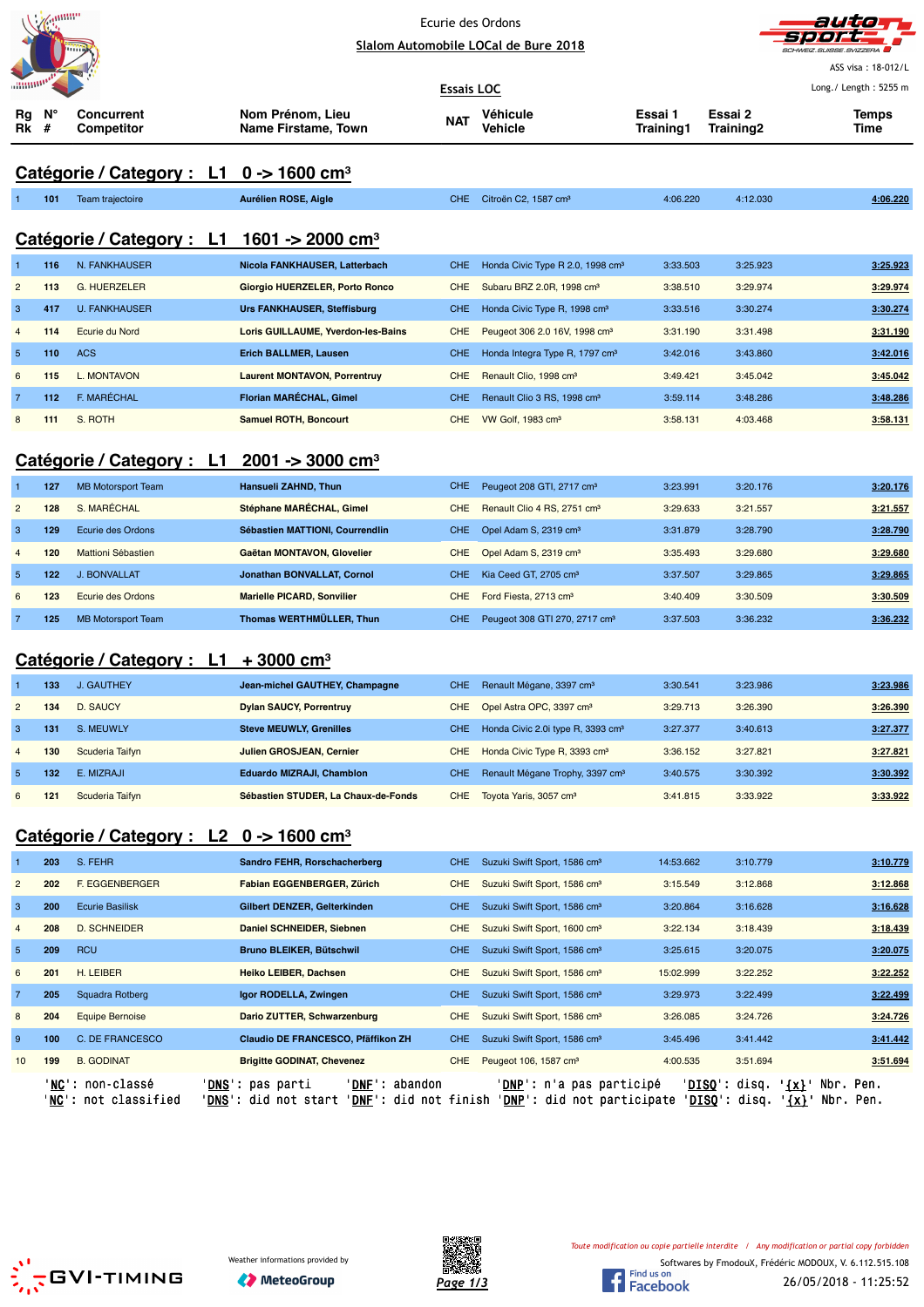|                | annin   |                                                        |                                         |            | Ecurie des Ordons                             |                             |                      | auto                  |
|----------------|---------|--------------------------------------------------------|-----------------------------------------|------------|-----------------------------------------------|-----------------------------|----------------------|-----------------------|
|                |         |                                                        | Slalom Automobile LOCal de Bure 2018    |            |                                               |                             |                      |                       |
|                |         |                                                        |                                         |            |                                               |                             |                      | ASS visa: 18-012/L    |
|                |         |                                                        |                                         | Essais LOC |                                               |                             |                      | Long./ Length: 5255 m |
| Rg<br>Rk       | V.<br># | <b>Concurrent</b><br><b>Competitor</b>                 | Nom Prénom, Lieu<br>Name Firstame, Town | NAT        | Véhicule<br>Vehicle                           | Essai 1<br><b>Training1</b> | Essai 2<br>Training2 | <b>Temps</b><br>Time  |
|                |         | Catégorie / Category : L1                              | $0 \rightarrow 1600 \text{ cm}^3$       |            |                                               |                             |                      |                       |
|                | 101     | Team trajectoire                                       | Aurélien ROSE, Aigle                    | CHE.       | Citroën C2, 1587 cm <sup>3</sup>              | 4:06.220                    | 4:12.030             | 4:06.220              |
|                |         | Catégorie / Category : L1 1601 -> 2000 cm <sup>3</sup> |                                         |            |                                               |                             |                      |                       |
| $\mathbf{1}$   | 116     | N. FANKHAUSER                                          | Nicola FANKHAUSER, Latterbach           | <b>CHE</b> | Honda Civic Type R 2.0, 1998 cm <sup>3</sup>  | 3:33.503                    | 3:25.923             | 3:25.923              |
| $\overline{2}$ | 113     | <b>G. HUERZELER</b>                                    | Giorgio HUERZELER, Porto Ronco          | <b>CHE</b> | Subaru BRZ 2.0R, 1998 cm <sup>3</sup>         | 3:38.510                    | 3:29.974             | 3:29.974              |
| 3              | 417     | <b>U. FANKHAUSER</b>                                   | <b>Urs FANKHAUSER, Steffisburg</b>      | <b>CHE</b> | Honda Civic Type R, 1998 cm <sup>3</sup>      | 3:33.516                    | 3:30.274             | 3:30.274              |
| $\overline{4}$ | 114     | Ecurie du Nord                                         | Loris GUILLAUME, Yverdon-les-Bains      | <b>CHE</b> | Peugeot 306 2.0 16V, 1998 cm <sup>3</sup>     | 3:31.190                    | 3:31.498             | 3:31.190              |
| $\overline{5}$ | 110     | <b>ACS</b>                                             | <b>Erich BALLMER, Lausen</b>            | <b>CHE</b> | Honda Integra Type R, 1797 cm <sup>3</sup>    | 3:42.016                    | 3:43.860             | 3:42.016              |
| 6              | 115     | L. MONTAVON                                            | <b>Laurent MONTAVON, Porrentruy</b>     | <b>CHE</b> | Renault Clio, 1998 cm <sup>3</sup>            | 3:49.421                    | 3:45.042             | 3:45.042              |
| $\overline{7}$ | 112     | F. MARÉCHAL                                            | Florian MARÉCHAL, Gimel                 | <b>CHE</b> | Renault Clio 3 RS, 1998 cm <sup>3</sup>       | 3:59.114                    | 3:48.286             | 3:48.286              |
| 8              | 111     | S. ROTH                                                | <b>Samuel ROTH, Boncourt</b>            | <b>CHE</b> | VW Golf, 1983 cm <sup>3</sup>                 | 3:58.131                    | 4:03.468             | 3:58.131              |
|                |         |                                                        |                                         |            |                                               |                             |                      |                       |
|                |         | Catégorie / Category : L1                              | $2001 - 3000$ cm <sup>3</sup>           |            |                                               |                             |                      |                       |
| 1              | 127     | <b>MB Motorsport Team</b>                              | Hansueli ZAHND, Thun                    | <b>CHE</b> | Peugeot 208 GTI, 2717 cm <sup>3</sup>         | 3:23.991                    | 3:20.176             | 3:20.176              |
| $\overline{2}$ | 128     | S. MARÉCHAL                                            | Stéphane MARÉCHAL, Gimel                | <b>CHE</b> | Renault Clio 4 RS, 2751 cm <sup>3</sup>       | 3:29.633                    | 3:21.557             | 3:21.557              |
| 3              | 129     | Ecurie des Ordons                                      | Sébastien MATTIONI, Courrendlin         | <b>CHE</b> | Opel Adam S, 2319 cm <sup>3</sup>             | 3:31.879                    | 3:28.790             | 3:28.790              |
| $\overline{4}$ | 120     | Mattioni Sébastien                                     | Gaëtan MONTAVON, Glovelier              | <b>CHE</b> | Opel Adam S, 2319 cm <sup>3</sup>             | 3:35.493                    | 3:29.680             | 3:29.680              |
| $\sqrt{5}$     | 122     | <b>J. BONVALLAT</b>                                    | Jonathan BONVALLAT, Cornol              | <b>CHE</b> | Kia Ceed GT, 2705 cm <sup>3</sup>             | 3:37.507                    | 3:29.865             | 3:29.865              |
| 6              | 123     | Ecurie des Ordons                                      | <b>Marielle PICARD, Sonvilier</b>       | <b>CHE</b> | Ford Fiesta, 2713 cm <sup>3</sup>             | 3:40.409                    | 3:30.509             | 3:30.509              |
| $\overline{7}$ | 125     | <b>MB Motorsport Team</b>                              | Thomas WERTHMÜLLER, Thun                | <b>CHE</b> | Peugeot 308 GTI 270, 2717 cm <sup>3</sup>     | 3:37.503                    | 3:36.232             | 3:36.232              |
|                |         |                                                        |                                         |            |                                               |                             |                      |                       |
|                |         | Catégorie / Category : L1                              | $+3000$ cm <sup>3</sup>                 |            |                                               |                             |                      |                       |
|                | 133     | J. GAUTHEY                                             | Jean-michel GAUTHEY, Champagne          | CHE.       | Renault Mégane, 3397 cm <sup>3</sup>          | 3:30.541                    | 3:23.986             | 3:23.986              |
| $\overline{c}$ | 134     | D. SAUCY                                               | <b>Dylan SAUCY, Porrentruy</b>          | <b>CHE</b> | Opel Astra OPC, 3397 cm <sup>3</sup>          | 3:29.713                    | 3:26.390             | 3:26.390              |
| 3              | 131     | S. MEUWLY                                              | <b>Steve MEUWLY, Grenilles</b>          | <b>CHE</b> | Honda Civic 2.0i type R, 3393 cm <sup>3</sup> | 3:27.377                    | 3:40.613             | 3:27.377              |
| $\overline{4}$ | 130     | Scuderia Taifyn                                        | <b>Julien GROSJEAN, Cernier</b>         | <b>CHE</b> | Honda Civic Type R, 3393 cm <sup>3</sup>      | 3:36.152                    | 3:27.821             | 3:27.821              |
| $\overline{5}$ | 132     | E. MIZRAJI                                             | <b>Eduardo MIZRAJI, Chamblon</b>        | <b>CHE</b> | Renault Mégane Trophy, 3397 cm <sup>3</sup>   | 3:40.575                    | 3:30.392             | 3:30.392              |
| $\,$ 6 $\,$    | 121     | Scuderia Taifyn                                        | Sébastien STUDER, La Chaux-de-Fonds     | <b>CHE</b> | Toyota Yaris, 3057 cm <sup>3</sup>            | 3:41.815                    | 3:33.922             | 3:33.922              |
|                |         | Catégorie / Category : L2                              | 0 -> 1600 cm <sup>3</sup>               |            |                                               |                             |                      |                       |
|                | 203     | S. FEHR                                                | Sandro FEHR, Rorschacherberg            | <b>CHE</b> | Suzuki Swift Sport, 1586 cm <sup>3</sup>      | 14:53.662                   | 3:10.779             | 3:10.779              |
| $\overline{c}$ | 202     | F. EGGENBERGER                                         | Fabian EGGENBERGER, Zürich              | <b>CHE</b> | Suzuki Swift Sport, 1586 cm <sup>3</sup>      | 3:15.549                    | 3:12.868             | 3:12.868              |
| 3              | 200     | <b>Ecurie Basilisk</b>                                 | Gilbert DENZER, Gelterkinden            | <b>CHE</b> | Suzuki Swift Sport, 1586 cm <sup>3</sup>      | 3:20.864                    | 3:16.628             | 3:16.628              |
| $\overline{4}$ | 208     | <b>D. SCHNEIDER</b>                                    | Daniel SCHNEIDER, Siebnen               | <b>CHE</b> | Suzuki Swift Sport, 1600 cm <sup>3</sup>      | 3:22.134                    | 3:18.439             | 3:18.439              |
| $\sqrt{5}$     | 209     | <b>RCU</b>                                             | Bruno BLEIKER, Bütschwil                | <b>CHE</b> | Suzuki Swift Sport, 1586 cm <sup>3</sup>      | 3:25.615                    | 3:20.075             | 3:20.075              |
| 6              | 201     | H. LEIBER                                              | Heiko LEIBER, Dachsen                   | <b>CHE</b> | Suzuki Swift Sport, 1586 cm <sup>3</sup>      | 15:02.999                   | 3:22.252             | 3:22.252              |
| 7              | 205     | Squadra Rotberg                                        | Igor RODELLA, Zwingen                   | <b>CHE</b> | Suzuki Swift Sport, 1586 cm <sup>3</sup>      | 3:29.973                    | 3:22.499             | 3:22.499              |
| 8              | 204     | <b>Equipe Bernoise</b>                                 | Dario ZUTTER, Schwarzenburg             | <b>CHE</b> | Suzuki Swift Sport, 1586 cm <sup>3</sup>      | 3:26.085                    | 3:24.726             | 3:24.726              |
| 9              | 100     | C. DE FRANCESCO                                        | Claudio DE FRANCESCO, Pfäffikon ZH      | <b>CHE</b> | Suzuki Swift Sport, 1586 cm <sup>3</sup>      | 3:45.496                    | 3:41.442             | 3:41.442              |
| 10             | 199     | <b>B. GODINAT</b>                                      | <b>Brigitte GODINAT, Chevenez</b>       | <b>CHE</b> | Peugeot 106, 1587 cm <sup>3</sup>             | 4:00.535                    | 3:51.694             | 3:51.694              |
|                |         |                                                        |                                         |            |                                               |                             |                      |                       |

'<u>NC</u>': non-classé '<u>DNS</u>': pas parti '<u>DNF</u>': abandon '<u>DNP</u>': n'a pas participé '<u>DISQ</u>': disq. '<u>{x}</u>' Nbr. Pen.

'NC': not classified 'DNS': did not start 'DNF': did not finish 'DNP': did not participate 'DISQ': disq. '{x}' Nbr. Pen.



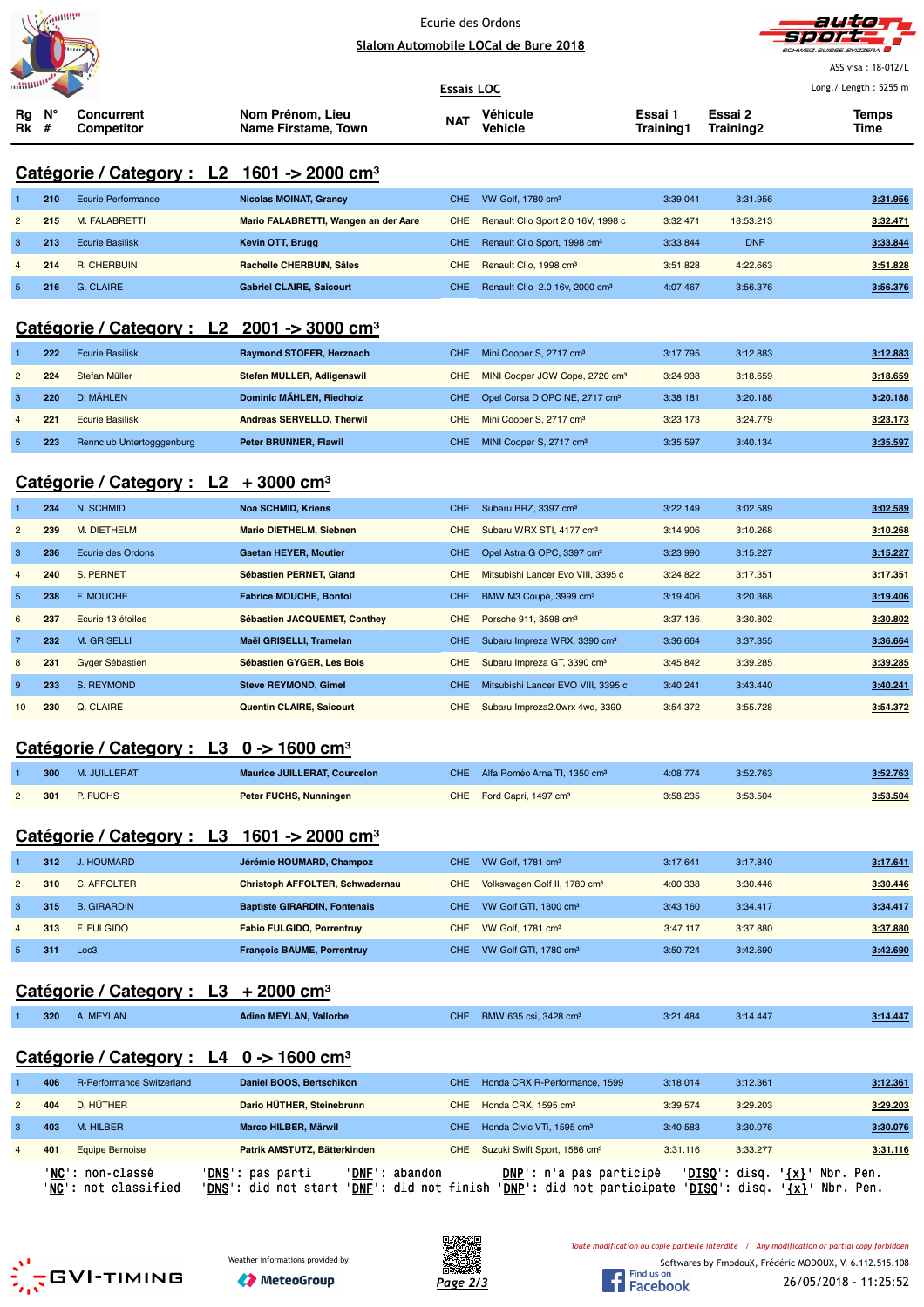



|                                                      |         |                                                                |                                                                                                     |                   |                                              |                      |                                                 | ASS visa: 18-012/L                                                                           |
|------------------------------------------------------|---------|----------------------------------------------------------------|-----------------------------------------------------------------------------------------------------|-------------------|----------------------------------------------|----------------------|-------------------------------------------------|----------------------------------------------------------------------------------------------|
|                                                      |         |                                                                |                                                                                                     | <b>Essais LOC</b> |                                              |                      |                                                 | Long./ Length: 5255 m                                                                        |
| Rg<br>Rk                                             | V.<br># | <b>Concurrent</b><br>Competitor                                | Nom Prénom, Lieu<br>Name Firstame, Town                                                             | NAT               | Véhicule<br>Vehicle                          | Essai 1<br>Training1 | Essai 2<br>Training2                            | Temps<br>Time                                                                                |
|                                                      |         |                                                                | Catégorie / Category : L2 1601 -> 2000 cm <sup>3</sup>                                              |                   |                                              |                      |                                                 |                                                                                              |
|                                                      | 210     | <b>Ecurie Performance</b>                                      | <b>Nicolas MOINAT, Grancy</b>                                                                       | <b>CHE</b>        | VW Golf, 1780 cm <sup>3</sup>                | 3:39.041             | 3:31.956                                        | 3:31.956                                                                                     |
| $\overline{c}$                                       | 215     | M. FALABRETTI                                                  | Mario FALABRETTI, Wangen an der Aare                                                                | <b>CHE</b>        | Renault Clio Sport 2.0 16V, 1998 c           | 3:32.471             | 18:53.213                                       | 3:32.471                                                                                     |
| 3                                                    | 213     | <b>Ecurie Basilisk</b>                                         | Kevin OTT, Brugg                                                                                    | <b>CHE</b>        | Renault Clio Sport, 1998 cm <sup>3</sup>     | 3:33.844             | <b>DNF</b>                                      | 3:33.844                                                                                     |
| $\overline{4}$                                       | 214     | <b>R. CHERBUIN</b>                                             | Rachelle CHERBUIN, Sâles                                                                            | <b>CHE</b>        | Renault Clio, 1998 cm <sup>3</sup>           | 3:51.828             | 4:22.663                                        | 3:51.828                                                                                     |
| 5                                                    | 216     | G. CLAIRE                                                      | <b>Gabriel CLAIRE, Saicourt</b>                                                                     | <b>CHE</b>        | Renault Clio 2.0 16v, 2000 cm <sup>3</sup>   | 4:07.467             | 3:56.376                                        | 3:56.376                                                                                     |
|                                                      |         |                                                                | Catégorie / Category : L2 2001 -> 3000 cm <sup>3</sup>                                              |                   |                                              |                      |                                                 |                                                                                              |
|                                                      | 222     | <b>Ecurie Basilisk</b>                                         | Raymond STOFER, Herznach                                                                            | <b>CHE</b>        | Mini Cooper S, 2717 cm <sup>3</sup>          | 3:17.795             | 3:12.883                                        | 3:12.883                                                                                     |
| $\overline{c}$                                       | 224     | Stefan Müller                                                  | Stefan MULLER, Adligenswil                                                                          | <b>CHE</b>        | MINI Cooper JCW Cope, 2720 cm <sup>3</sup>   | 3:24.938             | 3:18.659                                        | 3:18.659                                                                                     |
| 3                                                    | 220     | D. MÄHLEN                                                      | Dominic MÄHLEN, Riedholz                                                                            | <b>CHE</b>        | Opel Corsa D OPC NE, 2717 cm <sup>3</sup>    | 3:38.181             | 3:20.188                                        | 3:20.188                                                                                     |
| $\overline{4}$                                       | 221     | <b>Ecurie Basilisk</b>                                         | Andreas SERVELLO, Therwil                                                                           | <b>CHE</b>        | Mini Cooper S, 2717 cm <sup>3</sup>          | 3:23.173             | 3:24.779                                        | 3:23.173                                                                                     |
| $\overline{5}$                                       | 223     | Rennclub Untertogggenburg                                      | Peter BRUNNER, Flawil                                                                               | <b>CHE</b>        | MINI Cooper S, 2717 cm <sup>3</sup>          | 3:35.597             | 3:40.134                                        | 3:35.597                                                                                     |
|                                                      |         | Catégorie / Category : $L2 + 3000$ cm <sup>3</sup>             |                                                                                                     |                   |                                              |                      |                                                 |                                                                                              |
|                                                      | 234     | N. SCHMID                                                      | <b>Noa SCHMID, Kriens</b>                                                                           | <b>CHE</b>        | Subaru BRZ, 3397 cm <sup>3</sup>             | 3:22.149             | 3:02.589                                        | 3:02.589                                                                                     |
| $\overline{c}$                                       | 239     | M. DIETHELM                                                    | <b>Mario DIETHELM, Siebnen</b>                                                                      | <b>CHE</b>        | Subaru WRX STI, 4177 cm <sup>3</sup>         | 3:14.906             | 3:10.268                                        | 3:10.268                                                                                     |
| 3                                                    | 236     | Ecurie des Ordons                                              | <b>Gaetan HEYER, Moutier</b>                                                                        | <b>CHE</b>        | Opel Astra G OPC, 3397 cm <sup>3</sup>       | 3:23.990             | 3:15.227                                        | 3:15.227                                                                                     |
| $\overline{4}$                                       | 240     | S. PERNET                                                      | Sébastien PERNET, Gland                                                                             | <b>CHE</b>        | Mitsubishi Lancer Evo VIII, 3395 c           | 3:24.822             | 3:17.351                                        | 3:17.351                                                                                     |
| $\overline{5}$                                       | 238     | F. MOUCHE                                                      | <b>Fabrice MOUCHE, Bonfol</b>                                                                       | <b>CHE</b>        | BMW M3 Coupé, 3999 cm <sup>3</sup>           | 3:19.406             | 3:20.368                                        | 3:19.406                                                                                     |
| $\boldsymbol{6}$                                     | 237     | Ecurie 13 étoiles                                              | Sébastien JACQUEMET, Conthey                                                                        | <b>CHE</b>        | Porsche 911, 3598 cm <sup>3</sup>            | 3:37.136             | 3:30.802                                        | 3:30.802                                                                                     |
| $\overline{7}$                                       | 232     | <b>M. GRISELLI</b>                                             | Maël GRISELLI, Tramelan                                                                             | <b>CHE</b>        | Subaru Impreza WRX, 3390 cm <sup>3</sup>     | 3:36.664             | 3:37.355                                        | 3:36.664                                                                                     |
| 8                                                    | 231     | Gyger Sébastien                                                | Sébastien GYGER, Les Bois                                                                           | <b>CHE</b>        | Subaru Impreza GT, 3390 cm <sup>3</sup>      | 3:45.842             | 3:39.285                                        | 3:39.285                                                                                     |
| 9                                                    | 233     | S. REYMOND                                                     | <b>Steve REYMOND, Gimel</b>                                                                         | <b>CHE</b>        | Mitsubishi Lancer EVO VIII, 3395 c           | 3:40.241             | 3:43.440                                        | 3:40.241                                                                                     |
| 10                                                   | 230     | Q. CLAIRE                                                      | Quentin CLAIRE, Saicourt                                                                            | <b>CHE</b>        | Subaru Impreza2.0wrx 4wd, 3390               | 3:54.372             | 3:55.728                                        | 3:54.372                                                                                     |
|                                                      |         | Catégorie / Category:<br>L3                                    | 0 -> 1600 $cm3$                                                                                     |                   |                                              |                      |                                                 |                                                                                              |
|                                                      | 300     | M. JUILLERAT                                                   | <b>Maurice JUILLERAT, Courcelon</b>                                                                 | <b>CHE</b>        | Alfa Roméo Arna TI, 1350 cm <sup>3</sup>     | 4:08.774             | 3:52.763                                        | 3:52.763                                                                                     |
| $\overline{c}$                                       | 301     | P. FUCHS                                                       | Peter FUCHS, Nunningen                                                                              | <b>CHE</b>        | Ford Capri, 1497 cm <sup>3</sup>             | 3:58.235             | 3:53.504                                        | 3:53.504                                                                                     |
|                                                      |         |                                                                | Catégorie / Category : $L3$ 1601 -> 2000 cm <sup>3</sup>                                            |                   |                                              |                      |                                                 |                                                                                              |
|                                                      | 312     | J. HOUMARD                                                     | Jérémie HOUMARD, Champoz                                                                            | <b>CHE</b>        | VW Golf, 1781 cm <sup>3</sup>                | 3:17.641             | 3:17.840                                        | 3:17.641                                                                                     |
| $\overline{c}$                                       | 310     | <b>C. AFFOLTER</b>                                             | Christoph AFFOLTER, Schwadernau                                                                     | <b>CHE</b>        | Volkswagen Golf II, 1780 cm <sup>3</sup>     | 4:00.338             | 3:30.446                                        | 3:30.446                                                                                     |
| $\mathbf{3}$                                         | 315     | <b>B. GIRARDIN</b>                                             | <b>Baptiste GIRARDIN, Fontenais</b>                                                                 | <b>CHE</b>        | VW Golf GTI, 1800 cm <sup>3</sup>            | 3:43.160             | 3:34.417                                        | 3:34.417                                                                                     |
| $\overline{4}$                                       | 313     | F. FULGIDO                                                     | <b>Fabio FULGIDO, Porrentruy</b>                                                                    | <b>CHE</b>        | VW Golf, 1781 cm <sup>3</sup>                | 3:47.117             | 3:37.880                                        | 3:37.880                                                                                     |
| $\sqrt{5}$                                           | 311     | Loc <sub>3</sub>                                               | <b>François BAUME, Porrentruy</b>                                                                   |                   | CHE VW Golf GTI, 1780 cm <sup>3</sup>        | 3:50.724             | 3:42.690                                        | 3:42.690                                                                                     |
| Catégorie / Category : L3<br>$+2000$ cm <sup>3</sup> |         |                                                                |                                                                                                     |                   |                                              |                      |                                                 |                                                                                              |
|                                                      | 320     | A. MEYLAN                                                      | <b>Adien MEYLAN, Vallorbe</b>                                                                       |                   | CHE BMW 635 csi, 3428 cm <sup>3</sup>        | 3:21.484             | 3:14.447                                        | 3:14.447                                                                                     |
|                                                      |         | Catégorie / Category : L4 $0 \rightarrow 1600$ cm <sup>3</sup> |                                                                                                     |                   |                                              |                      |                                                 |                                                                                              |
|                                                      | 406     | R-Performance Switzerland                                      | Daniel BOOS, Bertschikon                                                                            | <b>CHE</b>        | Honda CRX R-Performance, 1599                | 3:18.014             | 3:12.361                                        | 3:12.361                                                                                     |
| $\overline{2}$                                       | 404     | D. HÜTHER                                                      | Dario HÜTHER, Steinebrunn                                                                           | <b>CHE</b>        | Honda CRX, 1595 cm <sup>3</sup>              | 3:39.574             | 3:29.203                                        | 3:29.203                                                                                     |
| 3                                                    | 403     | M. HILBER                                                      | Marco HILBER, Märwil                                                                                | <b>CHE</b>        | Honda Civic VTi, 1595 cm <sup>3</sup>        | 3:40.583             | 3:30.076                                        | 3:30.076                                                                                     |
| $\overline{4}$                                       | 401     | <b>Equipe Bernoise</b>                                         | Patrik AMSTUTZ, Bätterkinden                                                                        |                   | CHE Suzuki Swift Sport, 1586 cm <sup>3</sup> | 3:31.116             | 3:33.277                                        | 3:31.116                                                                                     |
|                                                      |         | 'NC': non-classé                                               | 'DNE': abandon<br>' <u>DNS</u> ': pas parti                                                         |                   | ' <u>DNP</u> ': n'a pas participé            |                      | ' <u>DISQ</u> ': disq. ' <u>{x}</u> ' Nbr. Pen. |                                                                                              |
|                                                      |         | 'NC': not classified                                           | 'DNS': did not start 'DNE': did not finish 'DNP': did not participate 'DISQ': disq. '{x}' Nbr. Pen. |                   |                                              |                      |                                                 |                                                                                              |
|                                                      |         |                                                                |                                                                                                     | 改改                |                                              |                      |                                                 | Toute modification ou copie partielle interdite / Any modification or partial copy forbidden |







Softwares by FmodouX, Frédéric MODOUX, V. 6.112.515.108